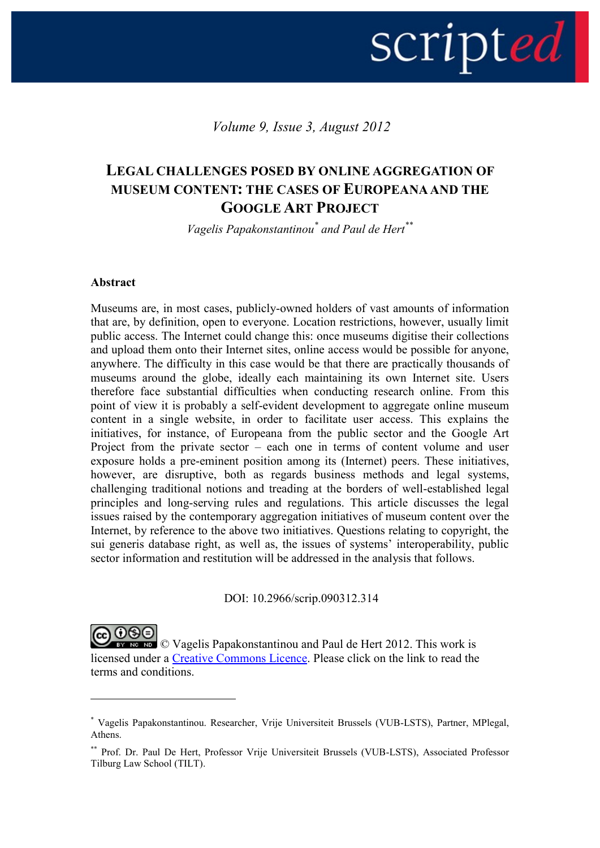# scripted |

*Volume 9, Issue 3, August 2012*

# **LEGAL CHALLENGES POSED BY ONLINE AGGREGATION OF MUSEUM CONTENT: THE CASES OF EUROPEANA AND THE GOOGLE ART PROJECT**

*Vagelis Papakonstantinou\* and Paul de Hert\*\**

#### **Abstract**

1

Museums are, in most cases, publicly-owned holders of vast amounts of information that are, by definition, open to everyone. Location restrictions, however, usually limit public access. The Internet could change this: once museums digitise their collections and upload them onto their Internet sites, online access would be possible for anyone, anywhere. The difficulty in this case would be that there are practically thousands of museums around the globe, ideally each maintaining its own Internet site. Users therefore face substantial difficulties when conducting research online. From this point of view it is probably a self-evident development to aggregate online museum content in a single website, in order to facilitate user access. This explains the initiatives, for instance, of Europeana from the public sector and the Google Art Project from the private sector – each one in terms of content volume and user exposure holds a pre-eminent position among its (Internet) peers. These initiatives, however, are disruptive, both as regards business methods and legal systems, challenging traditional notions and treading at the borders of well-established legal principles and long-serving rules and regulations. This article discusses the legal issues raised by the contemporary aggregation initiatives of museum content over the Internet, by reference to the above two initiatives. Questions relating to copyright, the sui generis database right, as well as, the issues of systems' interoperability, public sector information and restitution will be addressed in the analysis that follows.

DOI: 10.2966/scrip.090312.314

© Vagelis Papakonstantinou and Paul de Hert 2012. This work is licensed under a [Creative Commons Licence.](http://creativecommons.org/licenses/by-nc-nd/2.5/scotland/) Please click on the link to read the terms and conditions.

<sup>\*</sup> Vagelis Papakonstantinou. Researcher, Vrije Universiteit Brussels (VUB-LSTS), Partner, MPlegal, Athens.

<sup>\*\*</sup> Prof. Dr. Paul De Hert, Professor Vrije Universiteit Brussels (VUB-LSTS), Associated Professor Tilburg Law School (TILT).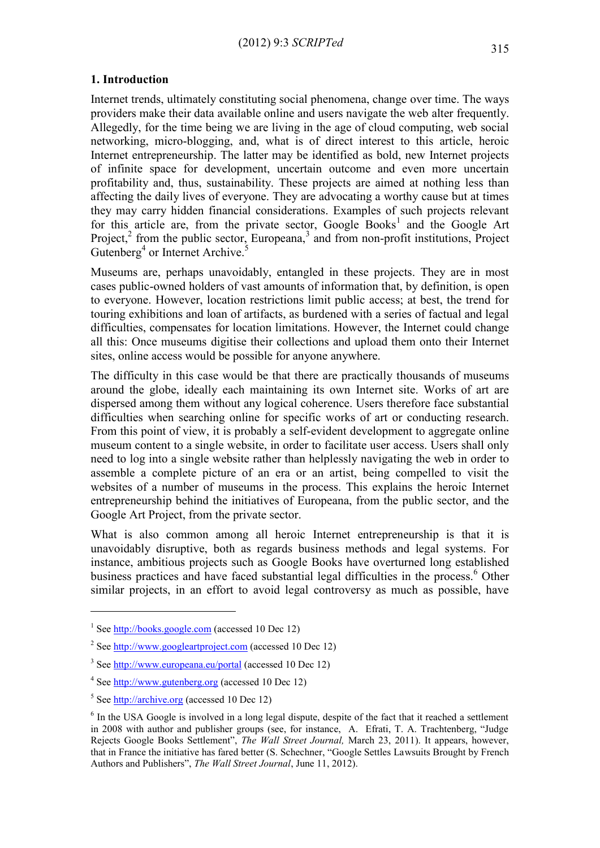#### **1. Introduction**

Internet trends, ultimately constituting social phenomena, change over time. The ways providers make their data available online and users navigate the web alter frequently. Allegedly, for the time being we are living in the age of cloud computing, web social networking, micro-blogging, and, what is of direct interest to this article, heroic Internet entrepreneurship. The latter may be identified as bold, new Internet projects of infinite space for development, uncertain outcome and even more uncertain profitability and, thus, sustainability. These projects are aimed at nothing less than affecting the daily lives of everyone. They are advocating a worthy cause but at times they may carry hidden financial considerations. Examples of such projects relevant for this article are, from the private sector, Google Books<sup>1</sup> and the Google Art Project,<sup>2</sup> from the public sector, Europeana,<sup>3</sup> and from non-profit institutions, Project Gutenberg<sup>4</sup> or Internet Archive.<sup>5</sup>

Museums are, perhaps unavoidably, entangled in these projects. They are in most cases public-owned holders of vast amounts of information that, by definition, is open to everyone. However, location restrictions limit public access; at best, the trend for touring exhibitions and loan of artifacts, as burdened with a series of factual and legal difficulties, compensates for location limitations. However, the Internet could change all this: Once museums digitise their collections and upload them onto their Internet sites, online access would be possible for anyone anywhere.

The difficulty in this case would be that there are practically thousands of museums around the globe, ideally each maintaining its own Internet site. Works of art are dispersed among them without any logical coherence. Users therefore face substantial difficulties when searching online for specific works of art or conducting research. From this point of view, it is probably a self-evident development to aggregate online museum content to a single website, in order to facilitate user access. Users shall only need to log into a single website rather than helplessly navigating the web in order to assemble a complete picture of an era or an artist, being compelled to visit the websites of a number of museums in the process. This explains the heroic Internet entrepreneurship behind the initiatives of Europeana, from the public sector, and the Google Art Project, from the private sector.

What is also common among all heroic Internet entrepreneurship is that it is unavoidably disruptive, both as regards business methods and legal systems. For instance, ambitious projects such as Google Books have overturned long established business practices and have faced substantial legal difficulties in the process.<sup>6</sup> Other similar projects, in an effort to avoid legal controversy as much as possible, have

<sup>&</sup>lt;sup>1</sup> Se[e http://books.google.com](http://books.google.com/) (accessed 10 Dec 12)

<sup>&</sup>lt;sup>2</sup> Se[e http://www.googleartproject.com](http://www.googleartproject.com/) (accessed 10 Dec 12)

<sup>&</sup>lt;sup>3</sup> Se[e http://www.europeana.eu/portal](http://www.europeana.eu/portal) (accessed 10 Dec 12)

<sup>&</sup>lt;sup>4</sup> Se[e http://www.gutenberg.org](http://www.gutenberg.org/) (accessed 10 Dec 12)

<sup>&</sup>lt;sup>5</sup> Se[e http://archive.org](http://archive.org/) (accessed 10 Dec 12)

<sup>&</sup>lt;sup>6</sup> In the USA Google is involved in a long legal dispute, despite of the fact that it reached a settlement in 2008 with author and publisher groups (see, for instance, A. Efrati, T. A. Trachtenberg, "Judge Rejects Google Books Settlement", *The Wall Street Journal,* March 23, 2011). It appears, however, that in France the initiative has fared better (S. Schechner, "Google Settles Lawsuits Brought by French Authors and Publishers", *The Wall Street Journal*, June 11, 2012).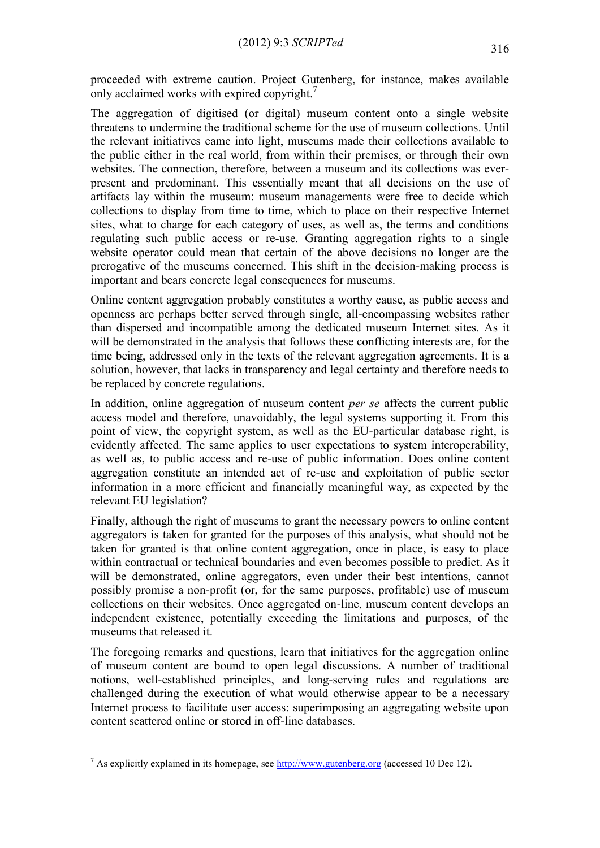proceeded with extreme caution. Project Gutenberg, for instance, makes available only acclaimed works with expired copyright.<sup>7</sup>

The aggregation of digitised (or digital) museum content onto a single website threatens to undermine the traditional scheme for the use of museum collections. Until the relevant initiatives came into light, museums made their collections available to the public either in the real world, from within their premises, or through their own websites. The connection, therefore, between a museum and its collections was everpresent and predominant. This essentially meant that all decisions on the use of artifacts lay within the museum: museum managements were free to decide which collections to display from time to time, which to place on their respective Internet sites, what to charge for each category of uses, as well as, the terms and conditions regulating such public access or re-use. Granting aggregation rights to a single website operator could mean that certain of the above decisions no longer are the prerogative of the museums concerned. This shift in the decision-making process is important and bears concrete legal consequences for museums.

Online content aggregation probably constitutes a worthy cause, as public access and openness are perhaps better served through single, all-encompassing websites rather than dispersed and incompatible among the dedicated museum Internet sites. As it will be demonstrated in the analysis that follows these conflicting interests are, for the time being, addressed only in the texts of the relevant aggregation agreements. It is a solution, however, that lacks in transparency and legal certainty and therefore needs to be replaced by concrete regulations.

In addition, online aggregation of museum content *per se* affects the current public access model and therefore, unavoidably, the legal systems supporting it. From this point of view, the copyright system, as well as the EU-particular database right, is evidently affected. The same applies to user expectations to system interoperability, as well as, to public access and re-use of public information. Does online content aggregation constitute an intended act of re-use and exploitation of public sector information in a more efficient and financially meaningful way, as expected by the relevant EU legislation?

Finally, although the right of museums to grant the necessary powers to online content aggregators is taken for granted for the purposes of this analysis, what should not be taken for granted is that online content aggregation, once in place, is easy to place within contractual or technical boundaries and even becomes possible to predict. As it will be demonstrated, online aggregators, even under their best intentions, cannot possibly promise a non-profit (or, for the same purposes, profitable) use of museum collections on their websites. Once aggregated on-line, museum content develops an independent existence, potentially exceeding the limitations and purposes, of the museums that released it.

The foregoing remarks and questions, learn that initiatives for the aggregation online of museum content are bound to open legal discussions. A number of traditional notions, well-established principles, and long-serving rules and regulations are challenged during the execution of what would otherwise appear to be a necessary Internet process to facilitate user access: superimposing an aggregating website upon content scattered online or stored in off-line databases.

<sup>&</sup>lt;sup>7</sup> As explicitly explained in its homepage, see  $\frac{http://www.gutenberg.org}{http://www.gutenberg.org}$  (accessed 10 Dec 12).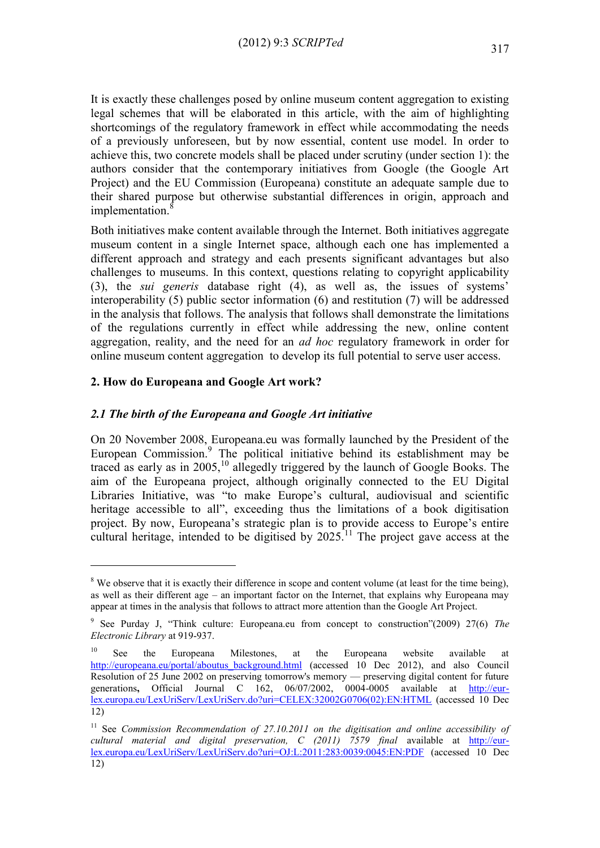It is exactly these challenges posed by online museum content aggregation to existing legal schemes that will be elaborated in this article, with the aim of highlighting shortcomings of the regulatory framework in effect while accommodating the needs of a previously unforeseen, but by now essential, content use model. In order to achieve this, two concrete models shall be placed under scrutiny (under section 1): the authors consider that the contemporary initiatives from Google (the Google Art Project) and the EU Commission (Europeana) constitute an adequate sample due to their shared purpose but otherwise substantial differences in origin, approach and  $implementation.<sup>8</sup>$ 

Both initiatives make content available through the Internet. Both initiatives aggregate museum content in a single Internet space, although each one has implemented a different approach and strategy and each presents significant advantages but also challenges to museums. In this context, questions relating to copyright applicability (3), the *sui generis* database right (4), as well as, the issues of systems' interoperability (5) public sector information (6) and restitution (7) will be addressed in the analysis that follows. The analysis that follows shall demonstrate the limitations of the regulations currently in effect while addressing the new, online content aggregation, reality, and the need for an *ad hoc* regulatory framework in order for online museum content aggregation to develop its full potential to serve user access.

# **2. How do Europeana and Google Art work?**

<u>.</u>

## *2.1 The birth of the Europeana and Google Art initiative*

On 20 November 2008, Europeana.eu was formally launched by the President of the European Commission.<sup>9</sup> The political initiative behind its establishment may be traced as early as in  $2005$ ,<sup>10</sup> allegedly triggered by the launch of Google Books. The aim of the Europeana project, although originally connected to the EU Digital Libraries Initiative, was "to make Europe's cultural, audiovisual and scientific heritage accessible to all", exceeding thus the limitations of a book digitisation project. By now, Europeana's strategic plan is to provide access to Europe's entire cultural heritage, intended to be digitised by  $2025$ <sup> $11$ </sup>. The project gave access at the

 $8$  We observe that it is exactly their difference in scope and content volume (at least for the time being), as well as their different age – an important factor on the Internet, that explains why Europeana may appear at times in the analysis that follows to attract more attention than the Google Art Project.

<sup>9</sup> See Purday J, "Think culture: Europeana.eu from concept to construction"(2009) 27(6) *The Electronic Library* at 919-937.

<sup>&</sup>lt;sup>10</sup> See the Europeana Milestones, at the Europeana website available at [http://europeana.eu/portal/aboutus\\_background.html](http://europeana.eu/portal/aboutus_background.html) (accessed 10 Dec 2012), and also Council Resolution of 25 June 2002 on preserving tomorrow's memory — preserving digital content for future generations, Official Journal C 162, 06/07/2002, 0004-0005 available at [http://eur](http://eur-lex.europa.eu/LexUriServ/LexUriServ.do?uri=CELEX:32002G0706(02):EN:HTML)[lex.europa.eu/LexUriServ/LexUriServ.do?uri=CELEX:32002G0706\(02\):EN:HTML](http://eur-lex.europa.eu/LexUriServ/LexUriServ.do?uri=CELEX:32002G0706(02):EN:HTML) (accessed 10 Dec 12)

<sup>&</sup>lt;sup>11</sup> See *Commission Recommendation of 27.10.2011* on the digitisation and online accessibility of *cultural material and digital preservation, C (2011) 7579 final* available at [http://eur](http://eur-lex.europa.eu/LexUriServ/LexUriServ.do?uri=OJ:L:2011:283:0039:0045:EN:PDF)[lex.europa.eu/LexUriServ/LexUriServ.do?uri=OJ:L:2011:283:0039:0045:EN:PDF](http://eur-lex.europa.eu/LexUriServ/LexUriServ.do?uri=OJ:L:2011:283:0039:0045:EN:PDF) (accessed 10 Dec 12)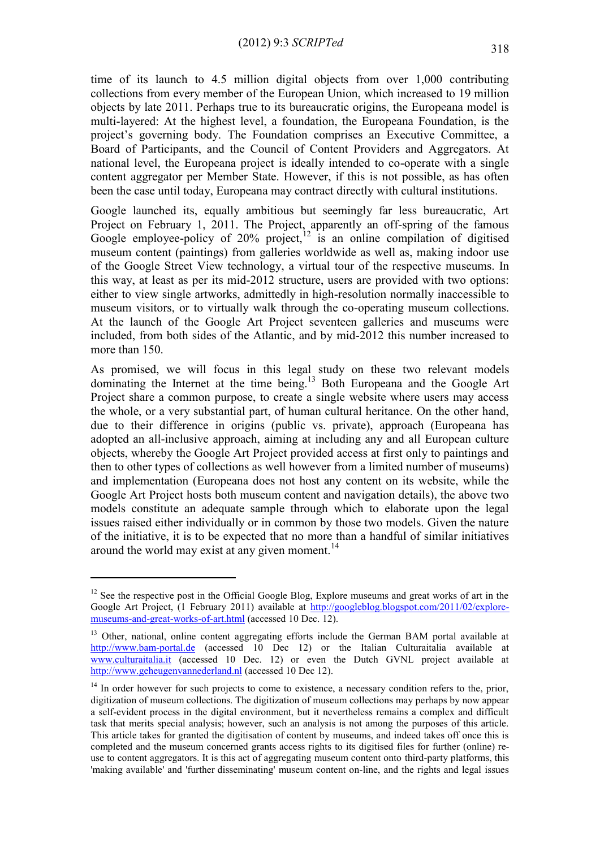time of its launch to 4.5 million digital objects from over 1,000 contributing collections from every member of the European Union, which increased to 19 million objects by late 2011. Perhaps true to its bureaucratic origins, the Europeana model is multi-layered: At the highest level, a foundation, the Europeana Foundation, is the project's governing body. The Foundation comprises an Executive Committee, a Board of Participants, and the Council of Content Providers and Aggregators. At national level, the Europeana project is ideally intended to co-operate with a single content aggregator per Member State. However, if this is not possible, as has often been the case until today, Europeana may contract directly with cultural institutions.

Google launched its, equally ambitious but seemingly far less bureaucratic, Art Project on February 1, 2011. The Project, apparently an off-spring of the famous Google employee-policy of  $20\%$  project, $12$  is an online compilation of digitised museum content (paintings) from galleries worldwide as well as, making indoor use of the Google Street View technology, a virtual tour of the respective museums. In this way, at least as per its mid-2012 structure, users are provided with two options: either to view single artworks, admittedly in high-resolution normally inaccessible to museum visitors, or to virtually walk through the co-operating museum collections. At the launch of the Google Art Project seventeen galleries and museums were included, from both sides of the Atlantic, and by mid-2012 this number increased to more than 150.

As promised, we will focus in this legal study on these two relevant models dominating the Internet at the time being.<sup>13</sup> Both Europeana and the Google Art Project share a common purpose, to create a single website where users may access the whole, or a very substantial part, of human cultural heritance. On the other hand, due to their difference in origins (public vs. private), approach (Europeana has adopted an all-inclusive approach, aiming at including any and all European culture objects, whereby the Google Art Project provided access at first only to paintings and then to other types of collections as well however from a limited number of museums) and implementation (Europeana does not host any content on its website, while the Google Art Project hosts both museum content and navigation details), the above two models constitute an adequate sample through which to elaborate upon the legal issues raised either individually or in common by those two models. Given the nature of the initiative, it is to be expected that no more than a handful of similar initiatives around the world may exist at any given moment.<sup>14</sup>

<u>.</u>

<sup>&</sup>lt;sup>12</sup> See the respective post in the Official Google Blog, Explore museums and great works of art in the Google Art Project, (1 February 2011) available at [http://googleblog.blogspot.com/2011/02/explore](http://googleblog.blogspot.com/2011/02/explore-museums-and-great-works-of-art.html)[museums-and-great-works-of-art.html](http://googleblog.blogspot.com/2011/02/explore-museums-and-great-works-of-art.html) (accessed 10 Dec. 12).

<sup>&</sup>lt;sup>13</sup> Other, national, online content aggregating efforts include the German BAM portal available at [http://www.bam-portal.de](http://www.bam-portal.de/) (accessed 10 Dec 12) or the Italian Culturaitalia available at [www.culturaitalia.it](http://www.culturaitalia.it/) (accessed 10 Dec. 12) or even the Dutch GVNL project available at [http://www.geheugenvannederland.nl](http://www.geheugenvannederland.nl/) (accessed 10 Dec 12).

<sup>&</sup>lt;sup>14</sup> In order however for such projects to come to existence, a necessary condition refers to the, prior, digitization of museum collections. The digitization of museum collections may perhaps by now appear a self-evident process in the digital environment, but it nevertheless remains a complex and difficult task that merits special analysis; however, such an analysis is not among the purposes of this article. This article takes for granted the digitisation of content by museums, and indeed takes off once this is completed and the museum concerned grants access rights to its digitised files for further (online) reuse to content aggregators. It is this act of aggregating museum content onto third-party platforms, this 'making available' and 'further disseminating' museum content on-line, and the rights and legal issues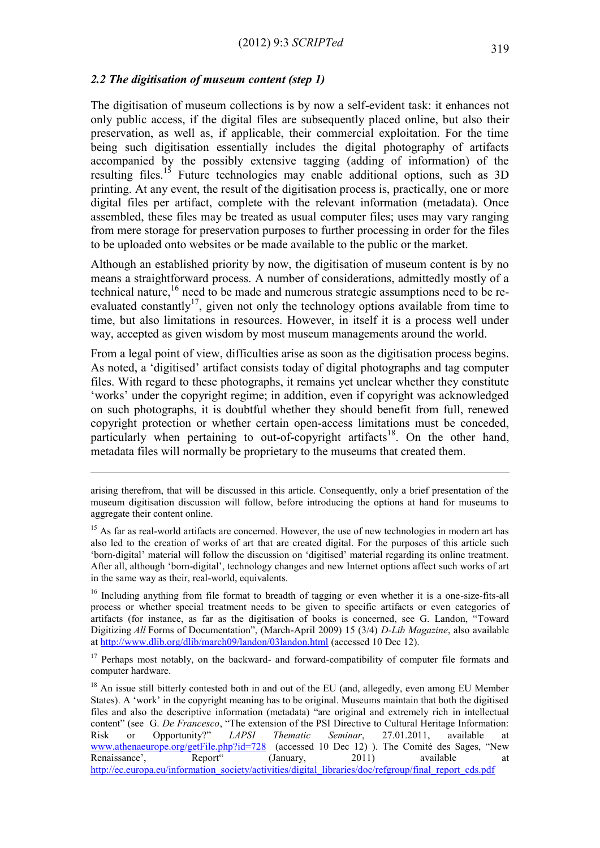#### *2.2 The digitisation of museum content (step 1)*

1

The digitisation of museum collections is by now a self-evident task: it enhances not only public access, if the digital files are subsequently placed online, but also their preservation, as well as, if applicable, their commercial exploitation. For the time being such digitisation essentially includes the digital photography of artifacts accompanied by the possibly extensive tagging (adding of information) of the resulting files.<sup>15</sup> Future technologies may enable additional options, such as  $3D$ printing. At any event, the result of the digitisation process is, practically, one or more digital files per artifact, complete with the relevant information (metadata). Once assembled, these files may be treated as usual computer files; uses may vary ranging from mere storage for preservation purposes to further processing in order for the files to be uploaded onto websites or be made available to the public or the market.

Although an established priority by now, the digitisation of museum content is by no means a straightforward process. A number of considerations, admittedly mostly of a technical nature,<sup>16</sup> need to be made and numerous strategic assumptions need to be reevaluated constantly<sup>17</sup>, given not only the technology options available from time to time, but also limitations in resources. However, in itself it is a process well under way, accepted as given wisdom by most museum managements around the world.

From a legal point of view, difficulties arise as soon as the digitisation process begins. As noted, a 'digitised' artifact consists today of digital photographs and tag computer files. With regard to these photographs, it remains yet unclear whether they constitute 'works' under the copyright regime; in addition, even if copyright was acknowledged on such photographs, it is doubtful whether they should benefit from full, renewed copyright protection or whether certain open-access limitations must be conceded, particularly when pertaining to out-of-copyright artifacts<sup>18</sup>. On the other hand, metadata files will normally be proprietary to the museums that created them.

arising therefrom, that will be discussed in this article. Consequently, only a brief presentation of the museum digitisation discussion will follow, before introducing the options at hand for museums to aggregate their content online.

<sup>&</sup>lt;sup>15</sup> As far as real-world artifacts are concerned. However, the use of new technologies in modern art has also led to the creation of works of art that are created digital. For the purposes of this article such 'born-digital' material will follow the discussion on 'digitised' material regarding its online treatment. After all, although 'born-digital', technology changes and new Internet options affect such works of art in the same way as their, real-world, equivalents.

<sup>&</sup>lt;sup>16</sup> Including anything from file format to breadth of tagging or even whether it is a one-size-fits-all process or whether special treatment needs to be given to specific artifacts or even categories of artifacts (for instance, as far as the digitisation of books is concerned, see G. Landon, "Toward Digitizing *All* Forms of Documentation", (March-April 2009) 15 (3/4) *D-Lib Magazine*, also available a[t http://www.dlib.org/dlib/march09/landon/03landon.html](http://www.dlib.org/dlib/march09/landon/03landon.html) (accessed 10 Dec 12).

<sup>&</sup>lt;sup>17</sup> Perhaps most notably, on the backward- and forward-compatibility of computer file formats and computer hardware.

<sup>&</sup>lt;sup>18</sup> An issue still bitterly contested both in and out of the EU (and, allegedly, even among EU Member States). A 'work' in the copyright meaning has to be original. Museums maintain that both the digitised files and also the descriptive information (metadata) "are original and extremely rich in intellectual content" (see G. *De Francesco*, "The extension of the PSI Directive to Cultural Heritage Information: Risk or Opportunity?" *LAPSI Thematic Seminar*, 27.01.2011, available at www.athenaeurope.org/getFile.php?id=728 (accessed 10 Dec 12)). The Comité des Sages, "New getFile.php?id=728 (accessed 10 Dec 12) ). The Comité des Sages, "New Report" (January, 2011) available at Renaissance', Report" (January, 2011) available at http://ec.europa.eu/information\_society/activities/digital\_libraries/doc/refgroup/final\_report\_cds.pdf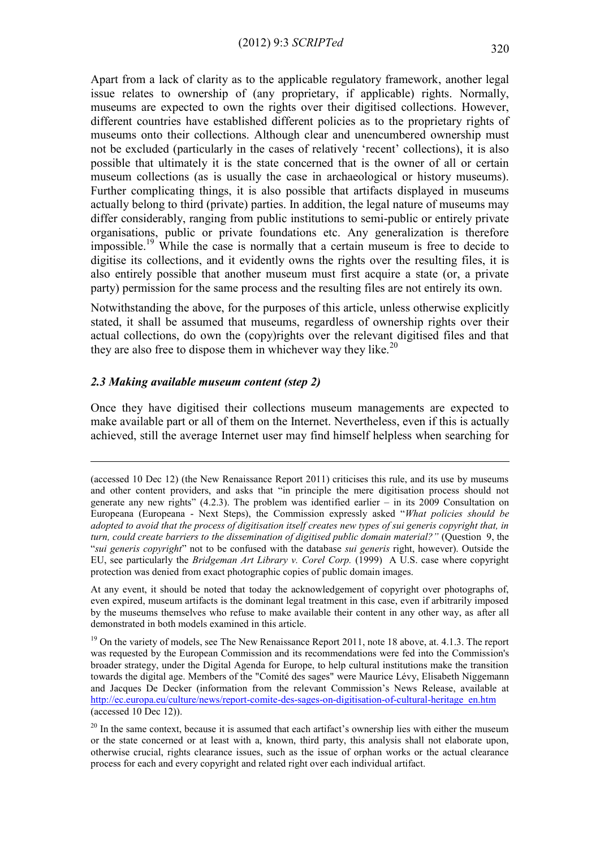Apart from a lack of clarity as to the applicable regulatory framework, another legal issue relates to ownership of (any proprietary, if applicable) rights. Normally, museums are expected to own the rights over their digitised collections. However, different countries have established different policies as to the proprietary rights of museums onto their collections. Although clear and unencumbered ownership must not be excluded (particularly in the cases of relatively 'recent' collections), it is also possible that ultimately it is the state concerned that is the owner of all or certain museum collections (as is usually the case in archaeological or history museums). Further complicating things, it is also possible that artifacts displayed in museums actually belong to third (private) parties. In addition, the legal nature of museums may differ considerably, ranging from public institutions to semi-public or entirely private organisations, public or private foundations etc. Any generalization is therefore impossible.<sup>19</sup> While the case is normally that a certain museum is free to decide to digitise its collections, and it evidently owns the rights over the resulting files, it is also entirely possible that another museum must first acquire a state (or, a private party) permission for the same process and the resulting files are not entirely its own.

Notwithstanding the above, for the purposes of this article, unless otherwise explicitly stated, it shall be assumed that museums, regardless of ownership rights over their actual collections, do own the (copy)rights over the relevant digitised files and that they are also free to dispose them in whichever way they like.<sup>20</sup>

#### *2.3 Making available museum content (step 2)*

<u>.</u>

Once they have digitised their collections museum managements are expected to make available part or all of them on the Internet. Nevertheless, even if this is actually achieved, still the average Internet user may find himself helpless when searching for

At any event, it should be noted that today the acknowledgement of copyright over photographs of, even expired, museum artifacts is the dominant legal treatment in this case, even if arbitrarily imposed by the museums themselves who refuse to make available their content in any other way, as after all demonstrated in both models examined in this article.

<sup>19</sup> On the variety of models, see The New Renaissance Report 2011, note 18 above, at. 4.1.3. The report was requested by the European Commission and its recommendations were fed into the Commission's broader strategy, under the Digital Agenda for Europe, to help cultural institutions make the transition towards the digital age. Members of the "Comité des sages" were Maurice Lévy, Elisabeth Niggemann and Jacques De Decker (information from the relevant Commission's News Release, available at [http://ec.europa.eu/culture/news/report-comite-des-sages-on-digitisation-of-cultural-heritage\\_en.htm](http://ec.europa.eu/culture/news/report-comite-des-sages-on-digitisation-of-cultural-heritage_en.htm) (accessed 10 Dec 12)).

<sup>(</sup>accessed 10 Dec 12) (the New Renaissance Report 2011) criticises this rule, and its use by museums and other content providers, and asks that "in principle the mere digitisation process should not generate any new rights"  $(4.2.3)$ . The problem was identified earlier – in its 2009 Consultation on Europeana (Europeana - Next Steps), the Commission expressly asked "*What policies should be adopted to avoid that the process of digitisation itself creates new types of sui generis copyright that, in turn, could create barriers to the dissemination of digitised public domain material?"* (Question 9, the "*sui generis copyright*" not to be confused with the database *sui generis* right, however). Outside the EU, see particularly the *Bridgeman Art Library v. Corel Corp.* (1999) A U.S. case where copyright protection was denied from exact photographic copies of public domain images.

 $20$  In the same context, because it is assumed that each artifact's ownership lies with either the museum or the state concerned or at least with a, known, third party, this analysis shall not elaborate upon, otherwise crucial, rights clearance issues, such as the issue of orphan works or the actual clearance process for each and every copyright and related right over each individual artifact.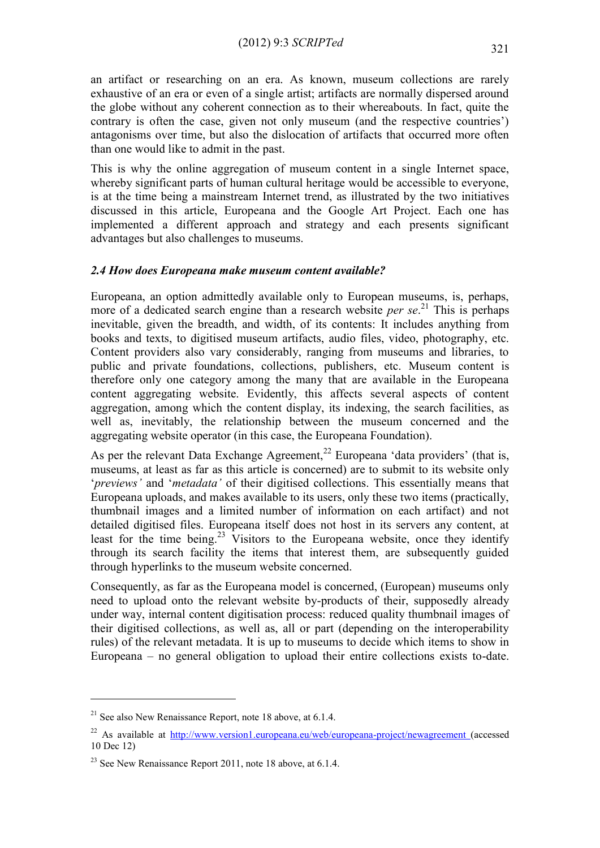an artifact or researching on an era. As known, museum collections are rarely exhaustive of an era or even of a single artist; artifacts are normally dispersed around the globe without any coherent connection as to their whereabouts. In fact, quite the contrary is often the case, given not only museum (and the respective countries') antagonisms over time, but also the dislocation of artifacts that occurred more often than one would like to admit in the past.

This is why the online aggregation of museum content in a single Internet space, whereby significant parts of human cultural heritage would be accessible to everyone. is at the time being a mainstream Internet trend, as illustrated by the two initiatives discussed in this article, Europeana and the Google Art Project. Each one has implemented a different approach and strategy and each presents significant advantages but also challenges to museums.

#### *2.4 How does Europeana make museum content available?*

Europeana, an option admittedly available only to European museums, is, perhaps, more of a dedicated search engine than a research website *per se*. <sup>21</sup> This is perhaps inevitable, given the breadth, and width, of its contents: It includes anything from books and texts, to digitised museum artifacts, audio files, video, photography, etc. Content providers also vary considerably, ranging from museums and libraries, to public and private foundations, collections, publishers, etc. Museum content is therefore only one category among the many that are available in the Europeana content aggregating website. Evidently, this affects several aspects of content aggregation, among which the content display, its indexing, the search facilities, as well as, inevitably, the relationship between the museum concerned and the aggregating website operator (in this case, the Europeana Foundation).

As per the relevant Data Exchange Agreement,<sup>22</sup> Europeana 'data providers' (that is, museums, at least as far as this article is concerned) are to submit to its website only '*previews'* and '*metadata'* of their digitised collections. This essentially means that Europeana uploads, and makes available to its users, only these two items (practically, thumbnail images and a limited number of information on each artifact) and not detailed digitised files. Europeana itself does not host in its servers any content, at least for the time being.<sup>23</sup> Visitors to the Europeana website, once they identify through its search facility the items that interest them, are subsequently guided through hyperlinks to the museum website concerned.

Consequently, as far as the Europeana model is concerned, (European) museums only need to upload onto the relevant website by-products of their, supposedly already under way, internal content digitisation process: reduced quality thumbnail images of their digitised collections, as well as, all or part (depending on the interoperability rules) of the relevant metadata. It is up to museums to decide which items to show in Europeana – no general obligation to upload their entire collections exists to-date.

 $21$  See also New Renaissance Report, note 18 above, at 6.1.4.

<sup>&</sup>lt;sup>22</sup> As available at <http://www.version1.europeana.eu/web/europeana-project/newagreement> (accessed) 10 Dec 12)

 $^{23}$  See New Renaissance Report 2011, note 18 above, at 6.1.4.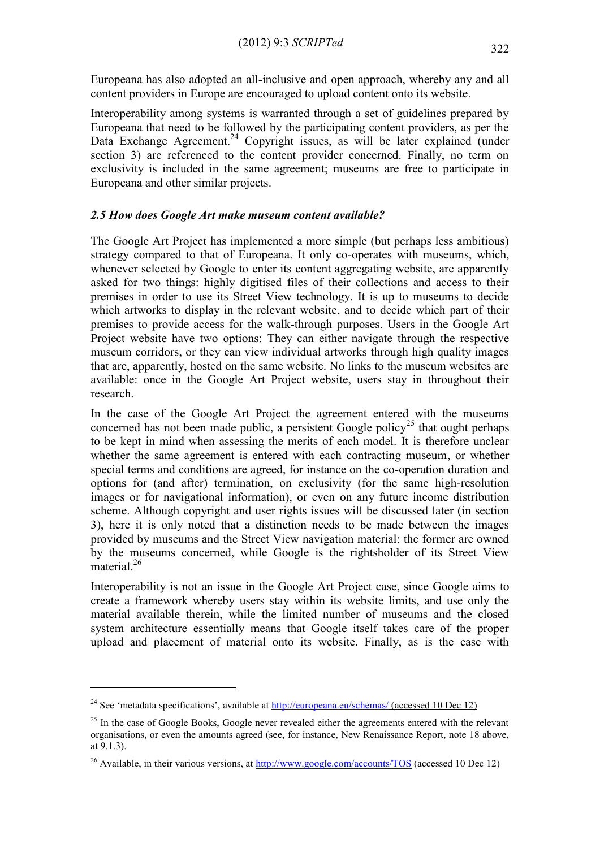Europeana has also adopted an all-inclusive and open approach, whereby any and all content providers in Europe are encouraged to upload content onto its website.

Interoperability among systems is warranted through a set of guidelines prepared by Europeana that need to be followed by the participating content providers, as per the Data Exchange Agreement.<sup>24</sup> Copyright issues, as will be later explained (under section 3) are referenced to the content provider concerned. Finally, no term on exclusivity is included in the same agreement; museums are free to participate in Europeana and other similar projects.

#### *2.5 How does Google Art make museum content available?*

The Google Art Project has implemented a more simple (but perhaps less ambitious) strategy compared to that of Europeana. It only co-operates with museums, which, whenever selected by Google to enter its content aggregating website, are apparently asked for two things: highly digitised files of their collections and access to their premises in order to use its Street View technology. It is up to museums to decide which artworks to display in the relevant website, and to decide which part of their premises to provide access for the walk-through purposes. Users in the Google Art Project website have two options: They can either navigate through the respective museum corridors, or they can view individual artworks through high quality images that are, apparently, hosted on the same website. No links to the museum websites are available: once in the Google Art Project website, users stay in throughout their research.

In the case of the Google Art Project the agreement entered with the museums concerned has not been made public, a persistent Google policy<sup>25</sup> that ought perhaps to be kept in mind when assessing the merits of each model. It is therefore unclear whether the same agreement is entered with each contracting museum, or whether special terms and conditions are agreed, for instance on the co-operation duration and options for (and after) termination, on exclusivity (for the same high-resolution images or for navigational information), or even on any future income distribution scheme. Although copyright and user rights issues will be discussed later (in section 3), here it is only noted that a distinction needs to be made between the images provided by museums and the Street View navigation material: the former are owned by the museums concerned, while Google is the rightsholder of its Street View material.<sup>26</sup>

Interoperability is not an issue in the Google Art Project case, since Google aims to create a framework whereby users stay within its website limits, and use only the material available therein, while the limited number of museums and the closed system architecture essentially means that Google itself takes care of the proper upload and placement of material onto its website. Finally, as is the case with

<u>.</u>

<sup>&</sup>lt;sup>24</sup> See 'metadata specifications', available at<http://europeana.eu/schemas/> (accessed 10 Dec 12)

 $25$  In the case of Google Books, Google never revealed either the agreements entered with the relevant organisations, or even the amounts agreed (see, for instance, New Renaissance Report, note 18 above, at 9.1.3).

<sup>&</sup>lt;sup>26</sup> Available, in their various versions, at<http://www.google.com/accounts/TOS> (accessed 10 Dec 12)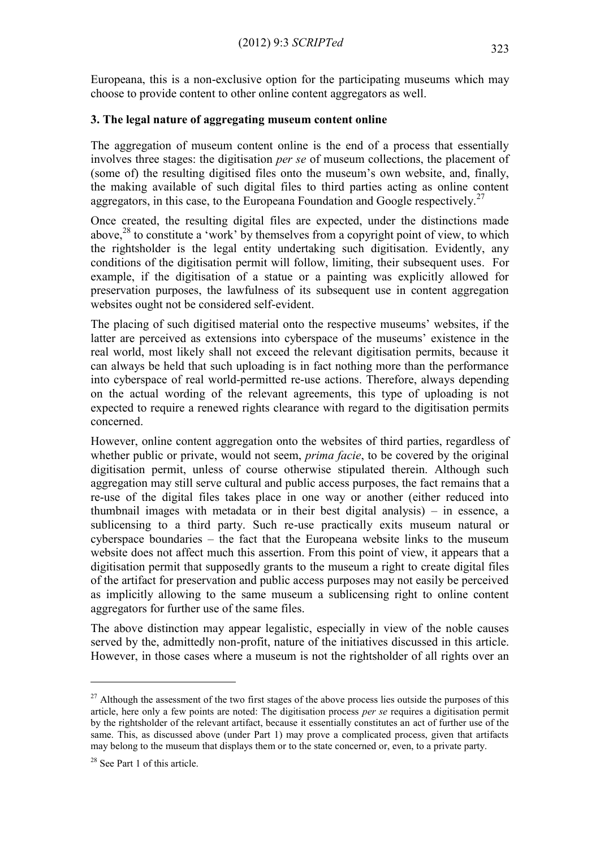Europeana, this is a non-exclusive option for the participating museums which may choose to provide content to other online content aggregators as well.

# **3. The legal nature of aggregating museum content online**

The aggregation of museum content online is the end of a process that essentially involves three stages: the digitisation *per se* of museum collections, the placement of (some of) the resulting digitised files onto the museum's own website, and, finally, the making available of such digital files to third parties acting as online content aggregators, in this case, to the Europeana Foundation and Google respectively.<sup>27</sup>

Once created, the resulting digital files are expected, under the distinctions made above,<sup>28</sup> to constitute a 'work' by themselves from a copyright point of view, to which the rightsholder is the legal entity undertaking such digitisation. Evidently, any conditions of the digitisation permit will follow, limiting, their subsequent uses. For example, if the digitisation of a statue or a painting was explicitly allowed for preservation purposes, the lawfulness of its subsequent use in content aggregation websites ought not be considered self-evident.

The placing of such digitised material onto the respective museums' websites, if the latter are perceived as extensions into cyberspace of the museums' existence in the real world, most likely shall not exceed the relevant digitisation permits, because it can always be held that such uploading is in fact nothing more than the performance into cyberspace of real world-permitted re-use actions. Therefore, always depending on the actual wording of the relevant agreements, this type of uploading is not expected to require a renewed rights clearance with regard to the digitisation permits concerned.

However, online content aggregation onto the websites of third parties, regardless of whether public or private, would not seem, *prima facie*, to be covered by the original digitisation permit, unless of course otherwise stipulated therein. Although such aggregation may still serve cultural and public access purposes, the fact remains that a re-use of the digital files takes place in one way or another (either reduced into thumbnail images with metadata or in their best digital analysis) – in essence, a sublicensing to a third party. Such re-use practically exits museum natural or cyberspace boundaries – the fact that the Europeana website links to the museum website does not affect much this assertion. From this point of view, it appears that a digitisation permit that supposedly grants to the museum a right to create digital files of the artifact for preservation and public access purposes may not easily be perceived as implicitly allowing to the same museum a sublicensing right to online content aggregators for further use of the same files.

The above distinction may appear legalistic, especially in view of the noble causes served by the, admittedly non-profit, nature of the initiatives discussed in this article. However, in those cases where a museum is not the rightsholder of all rights over an

 $27$  Although the assessment of the two first stages of the above process lies outside the purposes of this article, here only a few points are noted: The digitisation process *per se* requires a digitisation permit by the rightsholder of the relevant artifact, because it essentially constitutes an act of further use of the same. This, as discussed above (under Part 1) may prove a complicated process, given that artifacts may belong to the museum that displays them or to the state concerned or, even, to a private party.

<sup>&</sup>lt;sup>28</sup> See Part 1 of this article.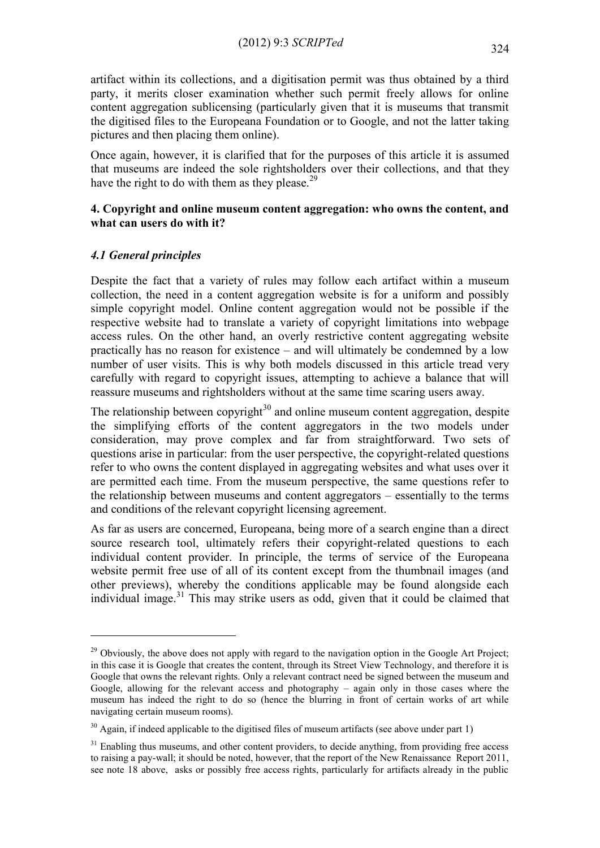artifact within its collections, and a digitisation permit was thus obtained by a third party, it merits closer examination whether such permit freely allows for online content aggregation sublicensing (particularly given that it is museums that transmit the digitised files to the Europeana Foundation or to Google, and not the latter taking pictures and then placing them online).

Once again, however, it is clarified that for the purposes of this article it is assumed that museums are indeed the sole rightsholders over their collections, and that they have the right to do with them as they please.<sup>29</sup>

## **4. Copyright and online museum content aggregation: who owns the content, and what can users do with it?**

## *4.1 General principles*

1

Despite the fact that a variety of rules may follow each artifact within a museum collection, the need in a content aggregation website is for a uniform and possibly simple copyright model. Online content aggregation would not be possible if the respective website had to translate a variety of copyright limitations into webpage access rules. On the other hand, an overly restrictive content aggregating website practically has no reason for existence – and will ultimately be condemned by a low number of user visits. This is why both models discussed in this article tread very carefully with regard to copyright issues, attempting to achieve a balance that will reassure museums and rightsholders without at the same time scaring users away.

The relationship between copyright $30$  and online museum content aggregation, despite the simplifying efforts of the content aggregators in the two models under consideration, may prove complex and far from straightforward. Two sets of questions arise in particular: from the user perspective, the copyright-related questions refer to who owns the content displayed in aggregating websites and what uses over it are permitted each time. From the museum perspective, the same questions refer to the relationship between museums and content aggregators – essentially to the terms and conditions of the relevant copyright licensing agreement.

As far as users are concerned, Europeana, being more of a search engine than a direct source research tool, ultimately refers their copyright-related questions to each individual content provider. In principle, the terms of service of the Europeana website permit free use of all of its content except from the thumbnail images (and other previews), whereby the conditions applicable may be found alongside each individual image. $31$  This may strike users as odd, given that it could be claimed that

<sup>&</sup>lt;sup>29</sup> Obviously, the above does not apply with regard to the navigation option in the Google Art Project; in this case it is Google that creates the content, through its Street View Technology, and therefore it is Google that owns the relevant rights. Only a relevant contract need be signed between the museum and Google, allowing for the relevant access and photography – again only in those cases where the museum has indeed the right to do so (hence the blurring in front of certain works of art while navigating certain museum rooms).

 $30$  Again, if indeed applicable to the digitised files of museum artifacts (see above under part 1)

 $31$  Enabling thus museums, and other content providers, to decide anything, from providing free access to raising a pay-wall; it should be noted, however, that the report of the New Renaissance Report 2011, see note 18 above, asks or possibly free access rights, particularly for artifacts already in the public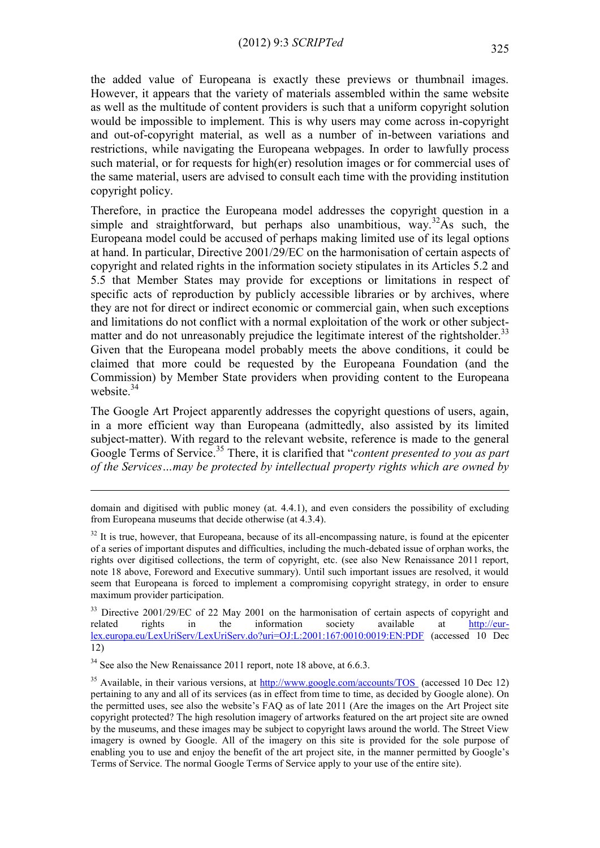the added value of Europeana is exactly these previews or thumbnail images. However, it appears that the variety of materials assembled within the same website as well as the multitude of content providers is such that a uniform copyright solution would be impossible to implement. This is why users may come across in-copyright and out-of-copyright material, as well as a number of in-between variations and restrictions, while navigating the Europeana webpages. In order to lawfully process such material, or for requests for high(er) resolution images or for commercial uses of the same material, users are advised to consult each time with the providing institution copyright policy.

Therefore, in practice the Europeana model addresses the copyright question in a simple and straightforward, but perhaps also unambitious, way.<sup>32</sup>As such, the Europeana model could be accused of perhaps making limited use of its legal options at hand. In particular, Directive 2001/29/EC on the harmonisation of certain aspects of copyright and related rights in the information society stipulates in its Articles 5.2 and 5.5 that Member States may provide for exceptions or limitations in respect of specific acts of reproduction by publicly accessible libraries or by archives, where they are not for direct or indirect economic or commercial gain, when such exceptions and limitations do not conflict with a normal exploitation of the work or other subjectmatter and do not unreasonably prejudice the legitimate interest of the rightsholder.<sup>33</sup> Given that the Europeana model probably meets the above conditions, it could be claimed that more could be requested by the Europeana Foundation (and the Commission) by Member State providers when providing content to the Europeana website  $34$ 

The Google Art Project apparently addresses the copyright questions of users, again, in a more efficient way than Europeana (admittedly, also assisted by its limited subject-matter). With regard to the relevant website, reference is made to the general Google Terms of Service.<sup>35</sup> There, it is clarified that "*content presented to you as part of the Services…may be protected by intellectual property rights which are owned by* 

<u>.</u>

domain and digitised with public money (at. 4.4.1), and even considers the possibility of excluding from Europeana museums that decide otherwise (at 4.3.4).

 $32$  It is true, however, that Europeana, because of its all-encompassing nature, is found at the epicenter of a series of important disputes and difficulties, including the much-debated issue of orphan works, the rights over digitised collections, the term of copyright, etc. (see also New Renaissance 2011 report, note 18 above, Foreword and Executive summary). Until such important issues are resolved, it would seem that Europeana is forced to implement a compromising copyright strategy, in order to ensure maximum provider participation.

<sup>&</sup>lt;sup>33</sup> Directive 2001/29/EC of 22 May 2001 on the harmonisation of certain aspects of copyright and related rights in the information society available at [http://eur](http://eur-lex.europa.eu/LexUriServ/LexUriServ.do?uri=OJ:L:2001:167:0010:0019:EN:PDF)[lex.europa.eu/LexUriServ/LexUriServ.do?uri=OJ:L:2001:167:0010:0019:EN:PDF](http://eur-lex.europa.eu/LexUriServ/LexUriServ.do?uri=OJ:L:2001:167:0010:0019:EN:PDF) (accessed 10 Dec 12)

 $34$  See also the New Renaissance 2011 report, note 18 above, at 6.6.3.

<sup>&</sup>lt;sup>35</sup> Available, in their various versions, at  $\frac{http://www.google.com/accounts/TOS}{http://www.google.com/accounts/TOS}$  (accessed 10 Dec 12) pertaining to any and all of its services (as in effect from time to time, as decided by Google alone). On the permitted uses, see also the website's FAQ as of late 2011 (Are the images on the Art Project site copyright protected? The high resolution imagery of artworks featured on the art project site are owned by the museums, and these images may be subject to copyright laws around the world. The Street View imagery is owned by Google. All of the imagery on this site is provided for the sole purpose of enabling you to use and enjoy the benefit of the art project site, in the manner permitted by Google's Terms of Service. The normal Google Terms of Service apply to your use of the entire site).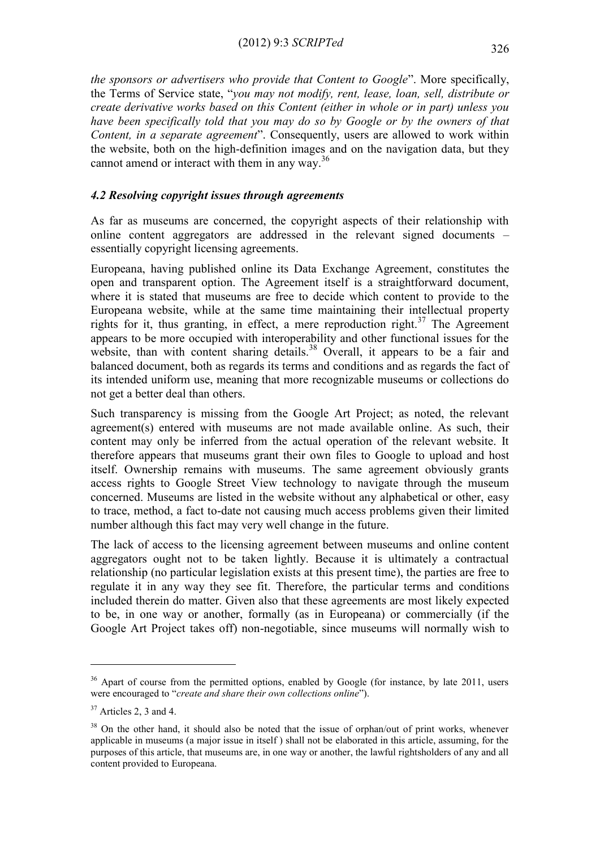*the sponsors or advertisers who provide that Content to Google*". More specifically, the Terms of Service state, "*you may not modify, rent, lease, loan, sell, distribute or create derivative works based on this Content (either in whole or in part) unless you have been specifically told that you may do so by Google or by the owners of that Content, in a separate agreement*". Consequently, users are allowed to work within the website, both on the high-definition images and on the navigation data, but they cannot amend or interact with them in any way.<sup>36</sup>

## *4.2 Resolving copyright issues through agreements*

As far as museums are concerned, the copyright aspects of their relationship with online content aggregators are addressed in the relevant signed documents – essentially copyright licensing agreements.

Europeana, having published online its Data Exchange Agreement, constitutes the open and transparent option. The Agreement itself is a straightforward document, where it is stated that museums are free to decide which content to provide to the Europeana website, while at the same time maintaining their intellectual property rights for it, thus granting, in effect, a mere reproduction right.<sup>37</sup> The Agreement appears to be more occupied with interoperability and other functional issues for the website, than with content sharing details.<sup>38</sup> Overall, it appears to be a fair and balanced document, both as regards its terms and conditions and as regards the fact of its intended uniform use, meaning that more recognizable museums or collections do not get a better deal than others.

Such transparency is missing from the Google Art Project; as noted, the relevant agreement(s) entered with museums are not made available online. As such, their content may only be inferred from the actual operation of the relevant website. It therefore appears that museums grant their own files to Google to upload and host itself. Ownership remains with museums. The same agreement obviously grants access rights to Google Street View technology to navigate through the museum concerned. Museums are listed in the website without any alphabetical or other, easy to trace, method, a fact to-date not causing much access problems given their limited number although this fact may very well change in the future.

The lack of access to the licensing agreement between museums and online content aggregators ought not to be taken lightly. Because it is ultimately a contractual relationship (no particular legislation exists at this present time), the parties are free to regulate it in any way they see fit. Therefore, the particular terms and conditions included therein do matter. Given also that these agreements are most likely expected to be, in one way or another, formally (as in Europeana) or commercially (if the Google Art Project takes off) non-negotiable, since museums will normally wish to

<sup>&</sup>lt;sup>36</sup> Apart of course from the permitted options, enabled by Google (for instance, by late 2011, users were encouraged to "*create and share their own collections online*").

 $37$  Articles 2, 3 and 4.

<sup>&</sup>lt;sup>38</sup> On the other hand, it should also be noted that the issue of orphan/out of print works, whenever applicable in museums (a major issue in itself ) shall not be elaborated in this article, assuming, for the purposes of this article, that museums are, in one way or another, the lawful rightsholders of any and all content provided to Europeana.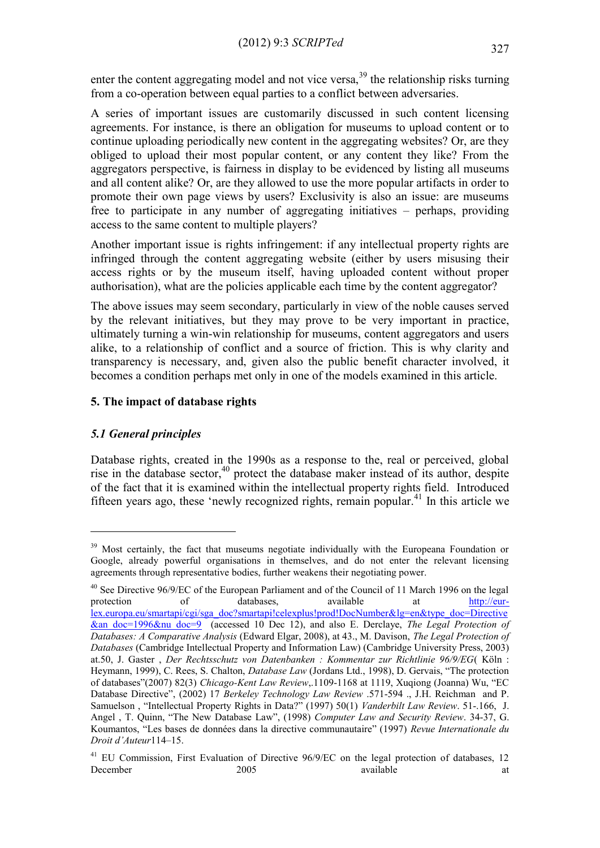enter the content aggregating model and not vice versa,  $39$  the relationship risks turning from a co-operation between equal parties to a conflict between adversaries.

A series of important issues are customarily discussed in such content licensing agreements. For instance, is there an obligation for museums to upload content or to continue uploading periodically new content in the aggregating websites? Or, are they obliged to upload their most popular content, or any content they like? From the aggregators perspective, is fairness in display to be evidenced by listing all museums and all content alike? Or, are they allowed to use the more popular artifacts in order to promote their own page views by users? Exclusivity is also an issue: are museums free to participate in any number of aggregating initiatives – perhaps, providing access to the same content to multiple players?

Another important issue is rights infringement: if any intellectual property rights are infringed through the content aggregating website (either by users misusing their access rights or by the museum itself, having uploaded content without proper authorisation), what are the policies applicable each time by the content aggregator?

The above issues may seem secondary, particularly in view of the noble causes served by the relevant initiatives, but they may prove to be very important in practice, ultimately turning a win-win relationship for museums, content aggregators and users alike, to a relationship of conflict and a source of friction. This is why clarity and transparency is necessary, and, given also the public benefit character involved, it becomes a condition perhaps met only in one of the models examined in this article.

# **5. The impact of database rights**

# *5.1 General principles*

1

Database rights, created in the 1990s as a response to the, real or perceived, global rise in the database sector,  $40$  protect the database maker instead of its author, despite of the fact that it is examined within the intellectual property rights field. Introduced fifteen years ago, these 'newly recognized rights, remain popular.<sup>41</sup> In this article we

<sup>&</sup>lt;sup>39</sup> Most certainly, the fact that museums negotiate individually with the Europeana Foundation or Google, already powerful organisations in themselves, and do not enter the relevant licensing agreements through representative bodies, further weakens their negotiating power.

<sup>&</sup>lt;sup>40</sup> See Directive 96/9/EC of the European Parliament and of the Council of 11 March 1996 on the legal protection of databases, available at [http://eur](http://eur-lex.europa.eu/smartapi/cgi/sga_doc?smartapi!celexplus!prod!DocNumber&lg=en&type_doc=Directive&an_doc=1996&nu_doc=9)[lex.europa.eu/smartapi/cgi/sga\\_doc?smartapi!celexplus!prod!DocNumber&lg=en&type\\_doc=Directive](http://eur-lex.europa.eu/smartapi/cgi/sga_doc?smartapi!celexplus!prod!DocNumber&lg=en&type_doc=Directive&an_doc=1996&nu_doc=9) [&an\\_doc=1996&nu\\_doc=9](http://eur-lex.europa.eu/smartapi/cgi/sga_doc?smartapi!celexplus!prod!DocNumber&lg=en&type_doc=Directive&an_doc=1996&nu_doc=9) (accessed 10 Dec 12), and also E. Derclaye, *The Legal Protection of Databases: A Comparative Analysis* (Edward Elgar, 2008), at 43., M. Davison, *The Legal Protection of Databases* (Cambridge Intellectual Property and Information Law) (Cambridge University Press, 2003) at.50, J. Gaster, *Der Rechtsschutz von Datenbanken : Kommentar zur Richtlinie 96/9/EG*(Köln : Heymann, 1999), C. Rees, S. Chalton, *Database Law* (Jordans Ltd., 1998), D. Gervais, "The protection of databases"(2007) 82(3) *Chicago-Kent Law Review*,.1109-1168 at 1119, Xuqiong (Joanna) Wu, "EC Database Directive", (2002) 17 *Berkeley Technology Law Review* .571-594 ., J.H. Reichman and P. Samuelson , "Intellectual Property Rights in Data?" (1997) 50(1) *Vanderbilt Law Review*. 51-.166, J. Angel , T. Quinn, "The New Database Law", (1998) *Computer Law and Security Review*. 34-37, G. oumantos, "Les bases de données dans la directive communautaire" (1997) *Revue Internationale du Droit d'Auteur*114–15.

<sup>&</sup>lt;sup>41</sup> EU Commission. First Evaluation of Directive 96/9/EC on the legal protection of databases, 12 December 2005 available at the state at  $2005$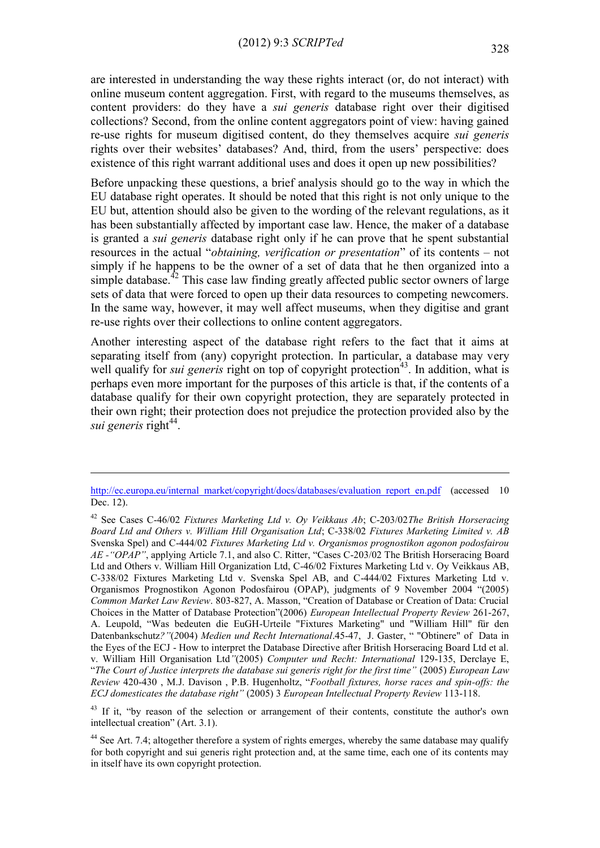are interested in understanding the way these rights interact (or, do not interact) with online museum content aggregation. First, with regard to the museums themselves, as content providers: do they have a *sui generis* database right over their digitised collections? Second, from the online content aggregators point of view: having gained re-use rights for museum digitised content, do they themselves acquire *sui generis* rights over their websites' databases? And, third, from the users' perspective: does existence of this right warrant additional uses and does it open up new possibilities?

Before unpacking these questions, a brief analysis should go to the way in which the EU database right operates. It should be noted that this right is not only unique to the EU but, attention should also be given to the wording of the relevant regulations, as it has been substantially affected by important case law. Hence, the maker of a database is granted a *sui generis* database right only if he can prove that he spent substantial resources in the actual "*obtaining, verification or presentation*" of its contents – not simply if he happens to be the owner of a set of data that he then organized into a simple database.<sup>42</sup> This case law finding greatly affected public sector owners of large sets of data that were forced to open up their data resources to competing newcomers. In the same way, however, it may well affect museums, when they digitise and grant re-use rights over their collections to online content aggregators.

Another interesting aspect of the database right refers to the fact that it aims at separating itself from (any) copyright protection. In particular, a database may very well qualify for *sui generis* right on top of copyright protection<sup>43</sup>. In addition, what is perhaps even more important for the purposes of this article is that, if the contents of a database qualify for their own copyright protection, they are separately protected in their own right; their protection does not prejudice the protection provided also by the sui generis right<sup>44</sup>.

[http://ec.europa.eu/internal\\_market/copyright/docs/databases/evaluation\\_report\\_en.pdf](http://ec.europa.eu/internal_market/copyright/docs/databases/evaluation_report_en.pdf) (accessed 10 Dec. 12).

<sup>42</sup> See Cases C-46/02 *Fixtures Marketing Ltd v. Oy Veikkaus Ab*; C-203/02*The British Horseracing Board Ltd and Others v. William Hill Organisation Ltd*; C-338/02 *Fixtures Marketing Limited v. AB* Svenska Spel) and C-444/02 *Fixtures Marketing Ltd v. Organismos prognostikon agonon podosfairou AE -"OPAP"*, applying Article 7.1, and also C. Ritter, "Cases C-203/02 The British Horseracing Board Ltd and Others v. William Hill Organization Ltd, C-46/02 Fixtures Marketing Ltd v. Oy Veikkaus AB, C-338/02 Fixtures Marketing Ltd v. Svenska Spel AB, and C-444/02 Fixtures Marketing Ltd v. Organismos Prognostikon Agonon Podosfairou (OPAP), judgments of 9 November 2004 "(2005) *Common Market Law Review*. 803-827, A. Masson, "Creation of Database or Creation of Data: Crucial Choices in the Matter of Database Protection"(2006) *European Intellectual Property Review* 261-267, A. Leupold, "Was bedeuten die EuGH-Urteile "Fixtures Marketing" und "William Hill" für den Datenbankschutz*?"*(*2*004) *Medien und Recht International*.45-47, J. Gaster, " "Obtinere" of Data in the Eyes of the ECJ - How to interpret the Database Directive after British Horseracing Board Ltd et al. v. William Hill Organisation Ltd*"*(2005) *Computer und Recht: International* 129-135, Derclaye E, "*The Court of Justice interprets the database sui generis right for the first time"* (2005) *European Law Review* 420-430 , M.J. Davison , P.B. Hugenholtz, "*Football fixtures, horse races and spin-offs: the ECJ domesticates the database right"* (2005) 3 *European Intellectual Property Review* 113-118.

<sup>&</sup>lt;sup>43</sup> If it, "by reason of the selection or arrangement of their contents, constitute the author's own intellectual creation" (Art. 3.1).

<sup>&</sup>lt;sup>44</sup> See Art. 7.4; altogether therefore a system of rights emerges, whereby the same database may qualify for both copyright and sui generis right protection and, at the same time, each one of its contents may in itself have its own copyright protection.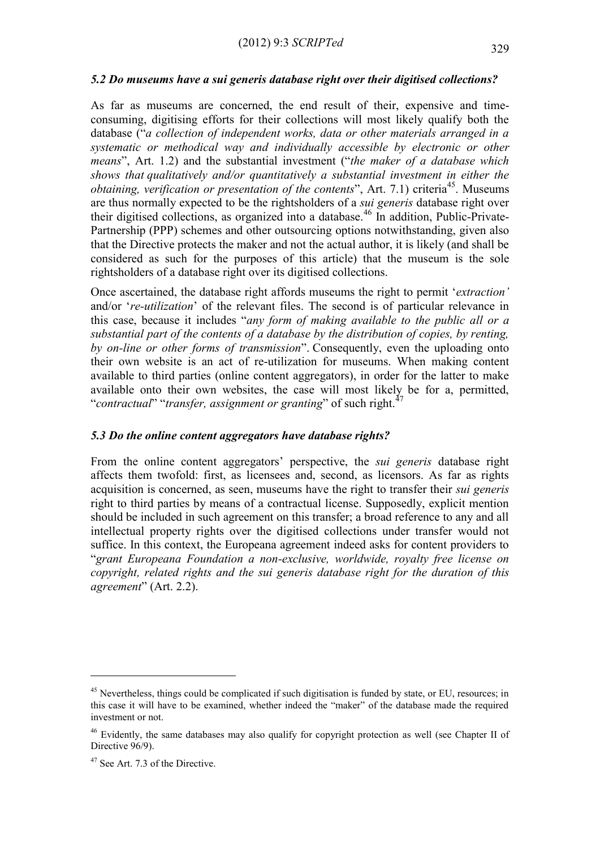#### *5.2 Do museums have a sui generis database right over their digitised collections?*

As far as museums are concerned, the end result of their, expensive and timeconsuming, digitising efforts for their collections will most likely qualify both the database ("*a collection of independent works, data or other materials arranged in a systematic or methodical way and individually accessible by electronic or other means*", Art. 1.2) and the substantial investment ("*the maker of a database which shows that qualitatively and/or quantitatively a substantial investment in either the obtaining, verification or presentation of the contents*", Art. 7.1) criteria<sup>45</sup>. Museums are thus normally expected to be the rightsholders of a *sui generis* database right over their digitised collections, as organized into a database.<sup>46</sup> In addition, Public-Private-Partnership (PPP) schemes and other outsourcing options notwithstanding, given also that the Directive protects the maker and not the actual author, it is likely (and shall be considered as such for the purposes of this article) that the museum is the sole rightsholders of a database right over its digitised collections.

Once ascertained, the database right affords museums the right to permit '*extraction'* and/or '*re-utilization*' of the relevant files. The second is of particular relevance in this case, because it includes "*any form of making available to the public all or a substantial part of the contents of a database by the distribution of copies, by renting, by on-line or other forms of transmission*". Consequently, even the uploading onto their own website is an act of re-utilization for museums. When making content available to third parties (online content aggregators), in order for the latter to make available onto their own websites, the case will most likely be for a, permitted, "*contractual*" "*transfer, assignment or granting*" of such right.<sup>47</sup>

#### *5.3 Do the online content aggregators have database rights?*

From the online content aggregators' perspective, the *sui generis* database right affects them twofold: first, as licensees and, second, as licensors. As far as rights acquisition is concerned, as seen, museums have the right to transfer their *sui generis* right to third parties by means of a contractual license. Supposedly, explicit mention should be included in such agreement on this transfer; a broad reference to any and all intellectual property rights over the digitised collections under transfer would not suffice. In this context, the Europeana agreement indeed asks for content providers to "*grant Europeana Foundation a non-exclusive, worldwide, royalty free license on copyright, related rights and the sui generis database right for the duration of this agreement*" (Art. 2.2).

<sup>&</sup>lt;sup>45</sup> Nevertheless, things could be complicated if such digitisation is funded by state, or EU, resources; in this case it will have to be examined, whether indeed the "maker" of the database made the required investment or not.

<sup>&</sup>lt;sup>46</sup> Evidently, the same databases may also qualify for copyright protection as well (see Chapter II of Directive  $96/9$ .

<sup>&</sup>lt;sup>47</sup> See Art. 7.3 of the Directive.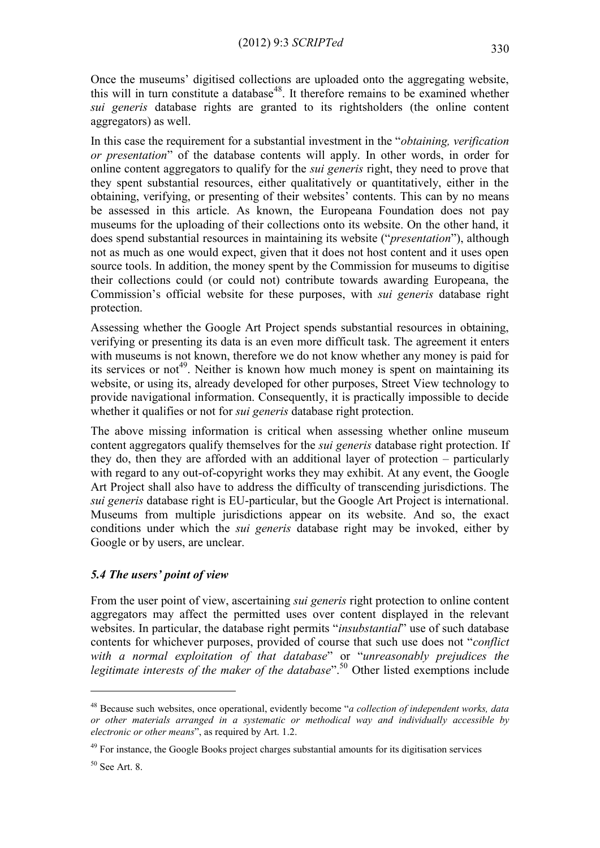Once the museums' digitised collections are uploaded onto the aggregating website, this will in turn constitute a database<sup>48</sup>. It therefore remains to be examined whether *sui generis* database rights are granted to its rightsholders (the online content aggregators) as well.

In this case the requirement for a substantial investment in the "*obtaining, verification or presentation*" of the database contents will apply. In other words, in order for online content aggregators to qualify for the *sui generis* right, they need to prove that they spent substantial resources, either qualitatively or quantitatively, either in the obtaining, verifying, or presenting of their websites' contents. This can by no means be assessed in this article. As known, the Europeana Foundation does not pay museums for the uploading of their collections onto its website. On the other hand, it does spend substantial resources in maintaining its website ("*presentation*"), although not as much as one would expect, given that it does not host content and it uses open source tools. In addition, the money spent by the Commission for museums to digitise their collections could (or could not) contribute towards awarding Europeana, the Commission's official website for these purposes, with *sui generis* database right protection.

Assessing whether the Google Art Project spends substantial resources in obtaining, verifying or presenting its data is an even more difficult task. The agreement it enters with museums is not known, therefore we do not know whether any money is paid for its services or not<sup>49</sup>. Neither is known how much money is spent on maintaining its website, or using its, already developed for other purposes, Street View technology to provide navigational information. Consequently, it is practically impossible to decide whether it qualifies or not for *sui generis* database right protection.

The above missing information is critical when assessing whether online museum content aggregators qualify themselves for the *sui generis* database right protection. If they do, then they are afforded with an additional layer of protection – particularly with regard to any out-of-copyright works they may exhibit. At any event, the Google Art Project shall also have to address the difficulty of transcending jurisdictions. The *sui generis* database right is EU-particular, but the Google Art Project is international. Museums from multiple jurisdictions appear on its website. And so, the exact conditions under which the *sui generis* database right may be invoked, either by Google or by users, are unclear.

# *5.4 The users' point of view*

From the user point of view, ascertaining *sui generis* right protection to online content aggregators may affect the permitted uses over content displayed in the relevant websites. In particular, the database right permits "*insubstantial*" use of such database contents for whichever purposes, provided of course that such use does not "*conflict with a normal exploitation of that database*" or "*unreasonably prejudices the legitimate interests of the maker of the database*".<sup>50</sup> Other listed exemptions include

<u>.</u>

<sup>48</sup> Because such websites, once operational, evidently become "*a collection of independent works, data or other materials arranged in a systematic or methodical way and individually accessible by electronic or other means*", as required by Art. 1.2.

<sup>&</sup>lt;sup>49</sup> For instance, the Google Books project charges substantial amounts for its digitisation services

 $50$  See Art. 8.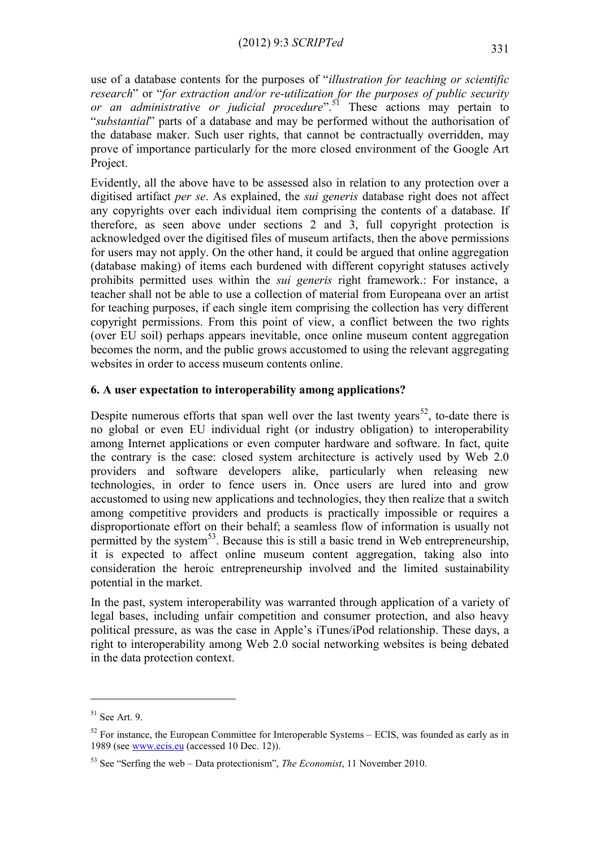use of a database contents for the purposes of "*illustration for teaching or scientific research*" or "*for extraction and/or re-utilization for the purposes of public security or an administrative or judicial procedure*".<sup>51</sup> These actions may pertain to "*substantial*" parts of a database and may be performed without the authorisation of the database maker. Such user rights, that cannot be contractually overridden, may prove of importance particularly for the more closed environment of the Google Art Project.

Evidently, all the above have to be assessed also in relation to any protection over a digitised artifact *per se*. As explained, the *sui generis* database right does not affect any copyrights over each individual item comprising the contents of a database. If therefore, as seen above under sections 2 and 3, full copyright protection is acknowledged over the digitised files of museum artifacts, then the above permissions for users may not apply. On the other hand, it could be argued that online aggregation (database making) of items each burdened with different copyright statuses actively prohibits permitted uses within the *sui generis* right framework.: For instance, a teacher shall not be able to use a collection of material from Europeana over an artist for teaching purposes, if each single item comprising the collection has very different copyright permissions. From this point of view, a conflict between the two rights (over EU soil) perhaps appears inevitable, once online museum content aggregation becomes the norm, and the public grows accustomed to using the relevant aggregating websites in order to access museum contents online.

## **6. A user expectation to interoperability among applications?**

Despite numerous efforts that span well over the last twenty years<sup>52</sup>, to-date there is no global or even EU individual right (or industry obligation) to interoperability among Internet applications or even computer hardware and software. In fact, quite the contrary is the case: closed system architecture is actively used by Web 2.0 providers and software developers alike, particularly when releasing new technologies, in order to fence users in. Once users are lured into and grow accustomed to using new applications and technologies, they then realize that a switch among competitive providers and products is practically impossible or requires a disproportionate effort on their behalf; a seamless flow of information is usually not permitted by the system<sup>53</sup>. Because this is still a basic trend in Web entrepreneurship, it is expected to affect online museum content aggregation, taking also into consideration the heroic entrepreneurship involved and the limited sustainability potential in the market.

In the past, system interoperability was warranted through application of a variety of legal bases, including unfair competition and consumer protection, and also heavy political pressure, as was the case in Apple's iTunes/iPod relationship. These days, a right to interoperability among Web 2.0 social networking websites is being debated in the data protection context.

 $51$  See Art. 9.

 $52$  For instance, the European Committee for Interoperable Systems – ECIS, was founded as early as in 1989 (see [www.ecis.eu](http://www.ecis.eu/) (accessed 10 Dec. 12)).

<sup>53</sup> See "Serfing the web – Data protectionism", *The Economist*, 11 November 2010.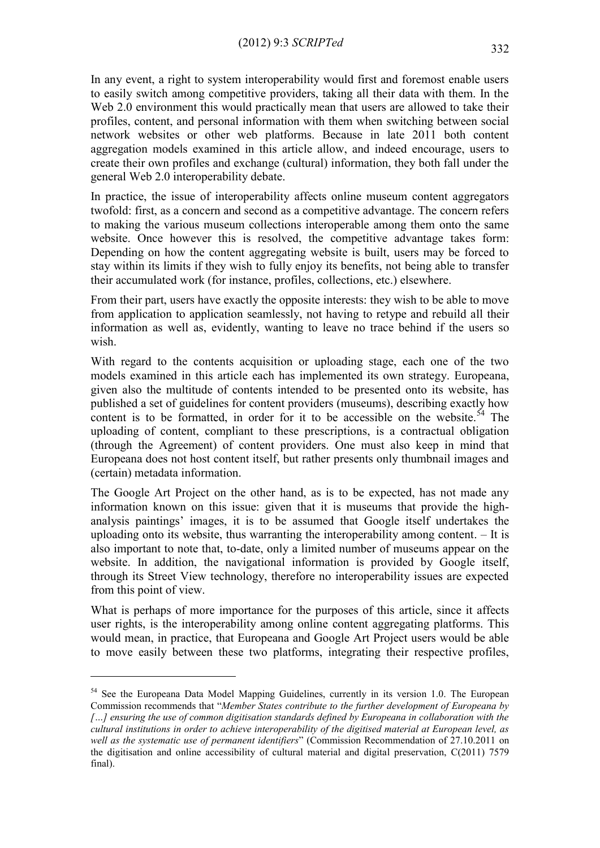In any event, a right to system interoperability would first and foremost enable users to easily switch among competitive providers, taking all their data with them. In the Web 2.0 environment this would practically mean that users are allowed to take their profiles, content, and personal information with them when switching between social network websites or other web platforms. Because in late 2011 both content aggregation models examined in this article allow, and indeed encourage, users to create their own profiles and exchange (cultural) information, they both fall under the general Web 2.0 interoperability debate.

In practice, the issue of interoperability affects online museum content aggregators twofold: first, as a concern and second as a competitive advantage. The concern refers to making the various museum collections interoperable among them onto the same website. Once however this is resolved, the competitive advantage takes form: Depending on how the content aggregating website is built, users may be forced to stay within its limits if they wish to fully enjoy its benefits, not being able to transfer their accumulated work (for instance, profiles, collections, etc.) elsewhere.

From their part, users have exactly the opposite interests: they wish to be able to move from application to application seamlessly, not having to retype and rebuild all their information as well as, evidently, wanting to leave no trace behind if the users so wish.

With regard to the contents acquisition or uploading stage, each one of the two models examined in this article each has implemented its own strategy. Europeana, given also the multitude of contents intended to be presented onto its website, has published a set of guidelines for content providers (museums), describing exactly how content is to be formatted, in order for it to be accessible on the website.<sup>54</sup> The uploading of content, compliant to these prescriptions, is a contractual obligation (through the Agreement) of content providers. One must also keep in mind that Europeana does not host content itself, but rather presents only thumbnail images and (certain) metadata information.

The Google Art Project on the other hand, as is to be expected, has not made any information known on this issue: given that it is museums that provide the highanalysis paintings' images, it is to be assumed that Google itself undertakes the uploading onto its website, thus warranting the interoperability among content. – It is also important to note that, to-date, only a limited number of museums appear on the website. In addition, the navigational information is provided by Google itself, through its Street View technology, therefore no interoperability issues are expected from this point of view.

What is perhaps of more importance for the purposes of this article, since it affects user rights, is the interoperability among online content aggregating platforms. This would mean, in practice, that Europeana and Google Art Project users would be able to move easily between these two platforms, integrating their respective profiles,

<sup>&</sup>lt;sup>54</sup> See the Europeana Data Model Mapping Guidelines, currently in its version 1.0. The European Commission recommends that "*Member States contribute to the further development of Europeana by […] ensuring the use of common digitisation standards defined by Europeana in collaboration with the cultural institutions in order to achieve interoperability of the digitised material at European level, as well as the systematic use of permanent identifiers*" (Commission Recommendation of 27.10.2011 on the digitisation and online accessibility of cultural material and digital preservation, C(2011) 7579 final).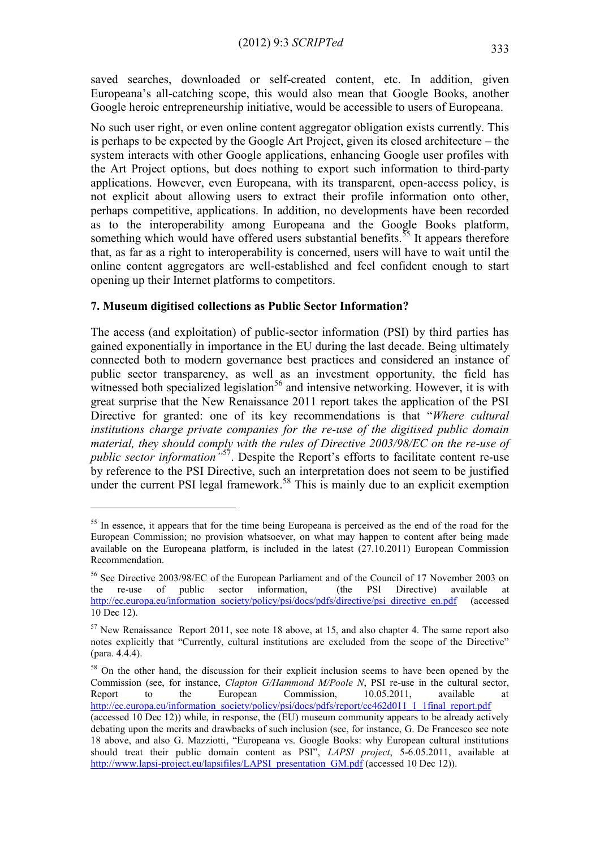saved searches, downloaded or self-created content, etc. In addition, given Europeana's all-catching scope, this would also mean that Google Books, another Google heroic entrepreneurship initiative, would be accessible to users of Europeana.

No such user right, or even online content aggregator obligation exists currently. This is perhaps to be expected by the Google Art Project, given its closed architecture – the system interacts with other Google applications, enhancing Google user profiles with the Art Project options, but does nothing to export such information to third-party applications. However, even Europeana, with its transparent, open-access policy, is not explicit about allowing users to extract their profile information onto other, perhaps competitive, applications. In addition, no developments have been recorded as to the interoperability among Europeana and the Google Books platform, something which would have offered users substantial benefits.<sup>55</sup> It appears therefore that, as far as a right to interoperability is concerned, users will have to wait until the online content aggregators are well-established and feel confident enough to start opening up their Internet platforms to competitors.

#### **7. Museum digitised collections as Public Sector Information?**

1

The access (and exploitation) of public-sector information (PSI) by third parties has gained exponentially in importance in the EU during the last decade. Being ultimately connected both to modern governance best practices and considered an instance of public sector transparency, as well as an investment opportunity, the field has witnessed both specialized legislation<sup>56</sup> and intensive networking. However, it is with great surprise that the New Renaissance 2011 report takes the application of the PSI Directive for granted: one of its key recommendations is that "*Where cultural institutions charge private companies for the re-use of the digitised public domain material, they should comply with the rules of Directive 2003/98/EC on the re-use of public sector information"*<sup>57</sup>. Despite the Report's efforts to facilitate content re-use by reference to the PSI Directive, such an interpretation does not seem to be justified under the current PSI legal framework.<sup>58</sup> This is mainly due to an explicit exemption

<sup>&</sup>lt;sup>55</sup> In essence, it appears that for the time being Europeana is perceived as the end of the road for the European Commission; no provision whatsoever, on what may happen to content after being made available on the Europeana platform, is included in the latest (27.10.2011) European Commission Recommendation.

<sup>56</sup> See Directive 2003/98/EC of the European Parliament and of the Council of 17 November 2003 on the re-use of public sector information, (the PSI Directive) available at [http://ec.europa.eu/information\\_society/policy/psi/docs/pdfs/directive/psi\\_directive\\_en.pdf](http://ec.europa.eu/information_society/policy/psi/docs/pdfs/directive/psi_directive_en.pdf) (accessed 10 Dec 12).

 $57$  New Renaissance Report 2011, see note 18 above, at 15, and also chapter 4. The same report also notes explicitly that "Currently, cultural institutions are excluded from the scope of the Directive" (para. 4.4.4).

<sup>&</sup>lt;sup>58</sup> On the other hand, the discussion for their explicit inclusion seems to have been opened by the Commission (see, for instance, *Clapton G/Hammond M/Poole N*, PSI re-use in the cultural sector, Report to the European Commission, 10.05.2011, available at http://ec.europa.eu/information\_society/policy/psi/docs/pdfs/report/cc462d011\_1\_1final\_report.pdf

<sup>(</sup>accessed 10 Dec 12)) while, in response, the (EU) museum community appears to be already actively debating upon the merits and drawbacks of such inclusion (see, for instance, G. De Francesco see note 18 above, and also G. Mazziotti, "Europeana vs. Google Books: why European cultural institutions should treat their public domain content as PSI", *LAPSI project*, 5-6.05.2011, available at [http://www.lapsi-project.eu/lapsifiles/LAPSI\\_presentation\\_GM.pdf](http://www.lapsi-project.eu/lapsifiles/LAPSI_presentation_GM.pdf) (accessed 10 Dec 12)).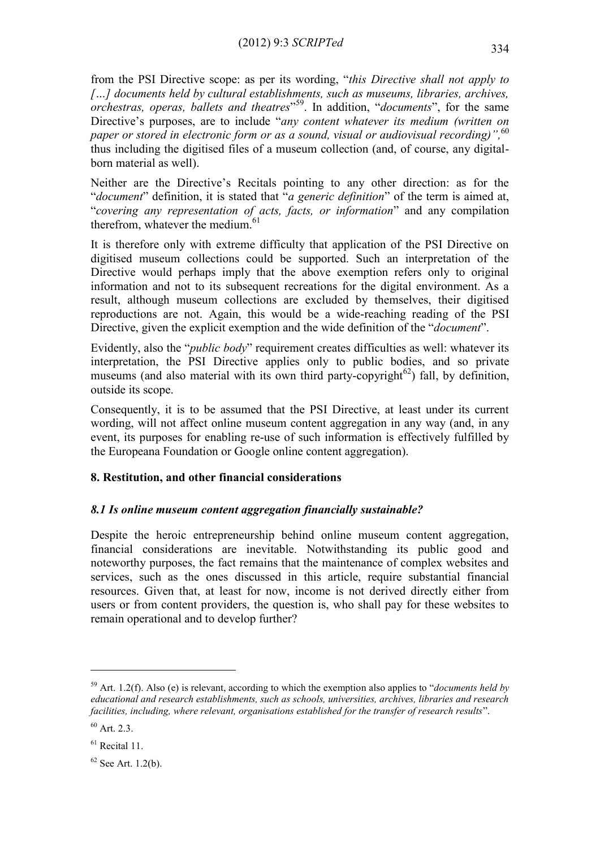from the PSI Directive scope: as per its wording, "*this Directive shall not apply to […] documents held by cultural establishments, such as museums, libraries, archives, orchestras, operas, ballets and theatres*" <sup>59</sup>. In addition, "*documents*", for the same Directive's purposes, are to include "*any content whatever its medium (written on paper or stored in electronic form or as a sound, visual or audiovisual recording)",* 60 thus including the digitised files of a museum collection (and, of course, any digitalborn material as well).

Neither are the Directive's Recitals pointing to any other direction: as for the "*document*" definition, it is stated that "*a generic definition*" of the term is aimed at, "*covering any representation of acts, facts, or information*" and any compilation therefrom, whatever the medium. 61

It is therefore only with extreme difficulty that application of the PSI Directive on digitised museum collections could be supported. Such an interpretation of the Directive would perhaps imply that the above exemption refers only to original information and not to its subsequent recreations for the digital environment. As a result, although museum collections are excluded by themselves, their digitised reproductions are not. Again, this would be a wide-reaching reading of the PSI Directive, given the explicit exemption and the wide definition of the "*document*".

Evidently, also the "*public body*" requirement creates difficulties as well: whatever its interpretation, the PSI Directive applies only to public bodies, and so private museums (and also material with its own third party-copyright<sup>62</sup>) fall, by definition, outside its scope.

Consequently, it is to be assumed that the PSI Directive, at least under its current wording, will not affect online museum content aggregation in any way (and, in any event, its purposes for enabling re-use of such information is effectively fulfilled by the Europeana Foundation or Google online content aggregation).

# **8. Restitution, and other financial considerations**

# *8.1 Is online museum content aggregation financially sustainable?*

Despite the heroic entrepreneurship behind online museum content aggregation, financial considerations are inevitable. Notwithstanding its public good and noteworthy purposes, the fact remains that the maintenance of complex websites and services, such as the ones discussed in this article, require substantial financial resources. Given that, at least for now, income is not derived directly either from users or from content providers, the question is, who shall pay for these websites to remain operational and to develop further?

<sup>59</sup> Art. 1.2(f). Also (e) is relevant, according to which the exemption also applies to "*documents held by educational and research establishments, such as schools, universities, archives, libraries and research facilities, including, where relevant, organisations established for the transfer of research results*".

 $60$  Art. 2.3.

 $61$  Recital 11.

 $62$  See Art. 1.2(b).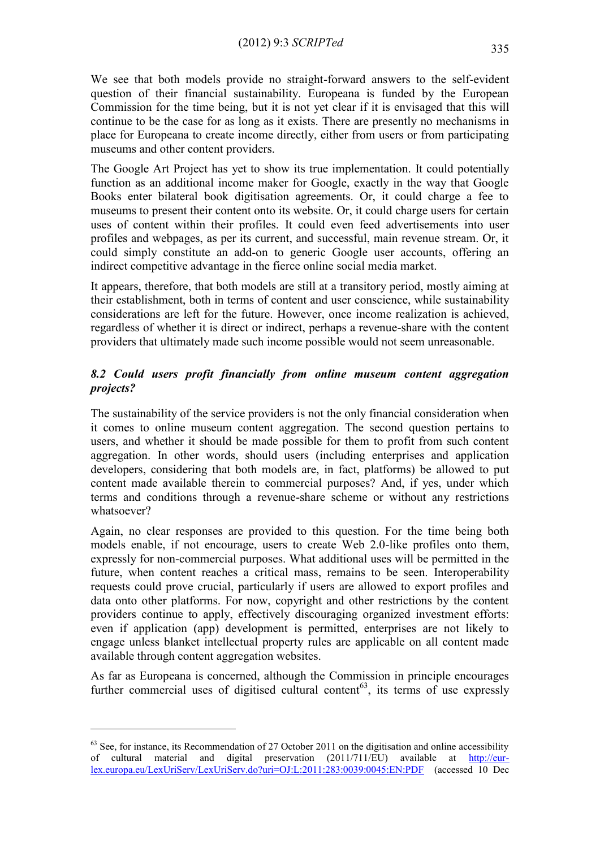We see that both models provide no straight-forward answers to the self-evident question of their financial sustainability. Europeana is funded by the European Commission for the time being, but it is not yet clear if it is envisaged that this will continue to be the case for as long as it exists. There are presently no mechanisms in place for Europeana to create income directly, either from users or from participating museums and other content providers.

The Google Art Project has yet to show its true implementation. It could potentially function as an additional income maker for Google, exactly in the way that Google Books enter bilateral book digitisation agreements. Or, it could charge a fee to museums to present their content onto its website. Or, it could charge users for certain uses of content within their profiles. It could even feed advertisements into user profiles and webpages, as per its current, and successful, main revenue stream. Or, it could simply constitute an add-on to generic Google user accounts, offering an indirect competitive advantage in the fierce online social media market.

It appears, therefore, that both models are still at a transitory period, mostly aiming at their establishment, both in terms of content and user conscience, while sustainability considerations are left for the future. However, once income realization is achieved, regardless of whether it is direct or indirect, perhaps a revenue-share with the content providers that ultimately made such income possible would not seem unreasonable.

# *8.2 Could users profit financially from online museum content aggregation projects?*

The sustainability of the service providers is not the only financial consideration when it comes to online museum content aggregation. The second question pertains to users, and whether it should be made possible for them to profit from such content aggregation. In other words, should users (including enterprises and application developers, considering that both models are, in fact, platforms) be allowed to put content made available therein to commercial purposes? And, if yes, under which terms and conditions through a revenue-share scheme or without any restrictions whatsoever?

Again, no clear responses are provided to this question. For the time being both models enable, if not encourage, users to create Web 2.0-like profiles onto them, expressly for non-commercial purposes. What additional uses will be permitted in the future, when content reaches a critical mass, remains to be seen. Interoperability requests could prove crucial, particularly if users are allowed to export profiles and data onto other platforms. For now, copyright and other restrictions by the content providers continue to apply, effectively discouraging organized investment efforts: even if application (app) development is permitted, enterprises are not likely to engage unless blanket intellectual property rules are applicable on all content made available through content aggregation websites.

As far as Europeana is concerned, although the Commission in principle encourages further commercial uses of digitised cultural content<sup>63</sup>, its terms of use expressly

 $63$  See, for instance, its Recommendation of 27 October 2011 on the digitisation and online accessibility of cultural material and digital preservation (2011/711/EU) available at [http://eur](http://eur-lex.europa.eu/LexUriServ/LexUriServ.do?uri=OJ:L:2011:283:0039:0045:EN:PDF)[lex.europa.eu/LexUriServ/LexUriServ.do?uri=OJ:L:2011:283:0039:0045:EN:PDF](http://eur-lex.europa.eu/LexUriServ/LexUriServ.do?uri=OJ:L:2011:283:0039:0045:EN:PDF) (accessed 10 Dec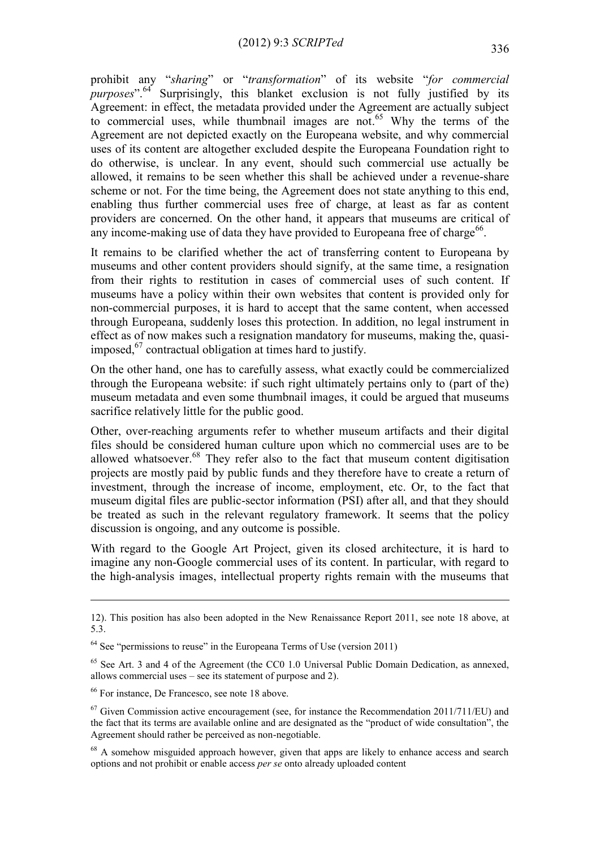prohibit any "*sharing*" or "*transformation*" of its website "*for commercial purposes*".<sup>64</sup> Surprisingly, this blanket exclusion is not fully justified by its Agreement: in effect, the metadata provided under the Agreement are actually subject to commercial uses, while thumbnail images are not. <sup>65</sup> Why the terms of the Agreement are not depicted exactly on the Europeana website, and why commercial uses of its content are altogether excluded despite the Europeana Foundation right to do otherwise, is unclear. In any event, should such commercial use actually be allowed, it remains to be seen whether this shall be achieved under a revenue-share scheme or not. For the time being, the Agreement does not state anything to this end, enabling thus further commercial uses free of charge, at least as far as content providers are concerned. On the other hand, it appears that museums are critical of any income-making use of data they have provided to Europeana free of charge<sup>66</sup>.

It remains to be clarified whether the act of transferring content to Europeana by museums and other content providers should signify, at the same time, a resignation from their rights to restitution in cases of commercial uses of such content. If museums have a policy within their own websites that content is provided only for non-commercial purposes, it is hard to accept that the same content, when accessed through Europeana, suddenly loses this protection. In addition, no legal instrument in effect as of now makes such a resignation mandatory for museums, making the, quasiimposed, <sup>67</sup> contractual obligation at times hard to justify.

On the other hand, one has to carefully assess, what exactly could be commercialized through the Europeana website: if such right ultimately pertains only to (part of the) museum metadata and even some thumbnail images, it could be argued that museums sacrifice relatively little for the public good.

Other, over-reaching arguments refer to whether museum artifacts and their digital files should be considered human culture upon which no commercial uses are to be allowed whatsoever. <sup>68</sup> They refer also to the fact that museum content digitisation projects are mostly paid by public funds and they therefore have to create a return of investment, through the increase of income, employment, etc. Or, to the fact that museum digital files are public-sector information (PSI) after all, and that they should be treated as such in the relevant regulatory framework. It seems that the policy discussion is ongoing, and any outcome is possible.

With regard to the Google Art Project, given its closed architecture, it is hard to imagine any non-Google commercial uses of its content. In particular, with regard to the high-analysis images, intellectual property rights remain with the museums that

<u>.</u>

<sup>12).</sup> This position has also been adopted in the New Renaissance Report 2011, see note 18 above, at 5.3.

 $64$  See "permissions to reuse" in the Europeana Terms of Use (version 2011)

 $65$  See Art. 3 and 4 of the Agreement (the CC0 1.0 Universal Public Domain Dedication, as annexed, allows commercial uses – see its statement of purpose and 2).

<sup>66</sup> For instance, De Francesco, see note 18 above.

 $67$  Given Commission active encouragement (see, for instance the Recommendation 2011/711/EU) and the fact that its terms are available online and are designated as the "product of wide consultation", the Agreement should rather be perceived as non-negotiable.

 $68$  A somehow misguided approach however, given that apps are likely to enhance access and search options and not prohibit or enable access *per se* onto already uploaded content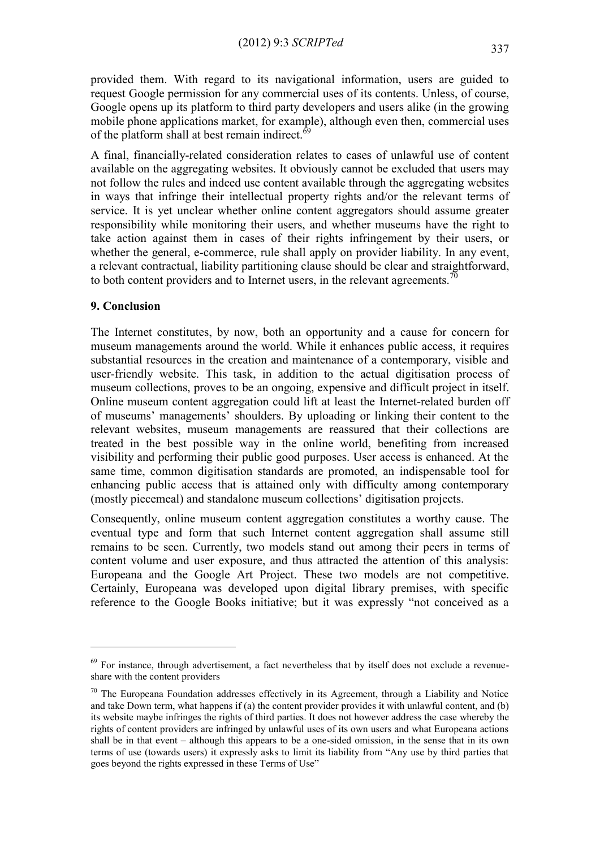provided them. With regard to its navigational information, users are guided to request Google permission for any commercial uses of its contents. Unless, of course, Google opens up its platform to third party developers and users alike (in the growing mobile phone applications market, for example), although even then, commercial uses of the platform shall at best remain indirect.<sup>69</sup>

A final, financially-related consideration relates to cases of unlawful use of content available on the aggregating websites. It obviously cannot be excluded that users may not follow the rules and indeed use content available through the aggregating websites in ways that infringe their intellectual property rights and/or the relevant terms of service. It is yet unclear whether online content aggregators should assume greater responsibility while monitoring their users, and whether museums have the right to take action against them in cases of their rights infringement by their users, or whether the general, e-commerce, rule shall apply on provider liability. In any event, a relevant contractual, liability partitioning clause should be clear and straightforward, to both content providers and to Internet users, in the relevant agreements.<sup>70</sup>

#### **9. Conclusion**

<u>.</u>

The Internet constitutes, by now, both an opportunity and a cause for concern for museum managements around the world. While it enhances public access, it requires substantial resources in the creation and maintenance of a contemporary, visible and user-friendly website. This task, in addition to the actual digitisation process of museum collections, proves to be an ongoing, expensive and difficult project in itself. Online museum content aggregation could lift at least the Internet-related burden off of museums' managements' shoulders. By uploading or linking their content to the relevant websites, museum managements are reassured that their collections are treated in the best possible way in the online world, benefiting from increased visibility and performing their public good purposes. User access is enhanced. At the same time, common digitisation standards are promoted, an indispensable tool for enhancing public access that is attained only with difficulty among contemporary (mostly piecemeal) and standalone museum collections' digitisation projects.

Consequently, online museum content aggregation constitutes a worthy cause. The eventual type and form that such Internet content aggregation shall assume still remains to be seen. Currently, two models stand out among their peers in terms of content volume and user exposure, and thus attracted the attention of this analysis: Europeana and the Google Art Project. These two models are not competitive. Certainly, Europeana was developed upon digital library premises, with specific reference to the Google Books initiative; but it was expressly "not conceived as a

 $69$  For instance, through advertisement, a fact nevertheless that by itself does not exclude a revenueshare with the content providers

 $70$  The Europeana Foundation addresses effectively in its Agreement, through a Liability and Notice and take Down term, what happens if (a) the content provider provides it with unlawful content, and (b) its website maybe infringes the rights of third parties. It does not however address the case whereby the rights of content providers are infringed by unlawful uses of its own users and what Europeana actions shall be in that event – although this appears to be a one-sided omission, in the sense that in its own terms of use (towards users) it expressly asks to limit its liability from "Any use by third parties that goes beyond the rights expressed in these Terms of Use"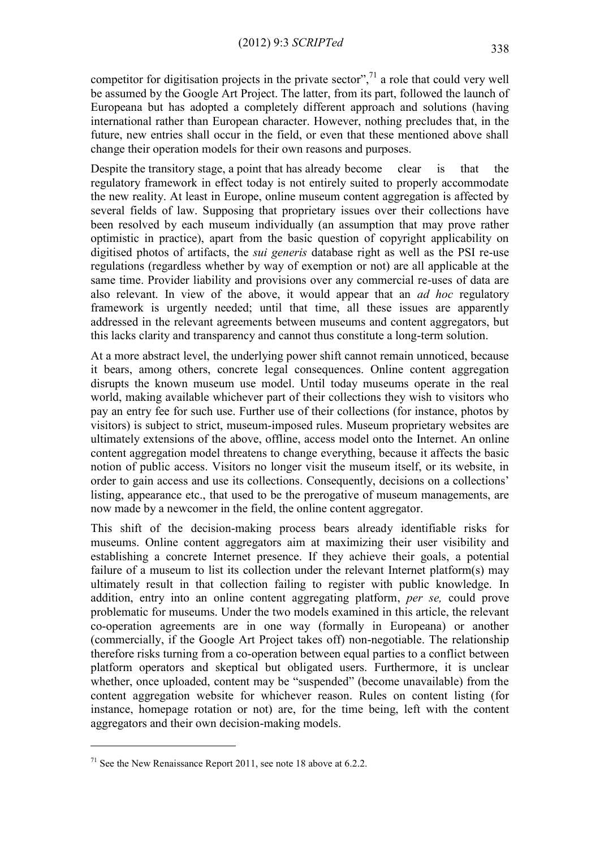competitor for digitisation projects in the private sector",<sup> $\frac{7}{1}$ </sup> a role that could very well be assumed by the Google Art Project. The latter, from its part, followed the launch of Europeana but has adopted a completely different approach and solutions (having international rather than European character. However, nothing precludes that, in the future, new entries shall occur in the field, or even that these mentioned above shall change their operation models for their own reasons and purposes.

Despite the transitory stage, a point that has already become clear is that the regulatory framework in effect today is not entirely suited to properly accommodate the new reality. At least in Europe, online museum content aggregation is affected by several fields of law. Supposing that proprietary issues over their collections have been resolved by each museum individually (an assumption that may prove rather optimistic in practice), apart from the basic question of copyright applicability on digitised photos of artifacts, the *sui generis* database right as well as the PSI re-use regulations (regardless whether by way of exemption or not) are all applicable at the same time. Provider liability and provisions over any commercial re-uses of data are also relevant. In view of the above, it would appear that an *ad hoc* regulatory framework is urgently needed; until that time, all these issues are apparently addressed in the relevant agreements between museums and content aggregators, but this lacks clarity and transparency and cannot thus constitute a long-term solution.

At a more abstract level, the underlying power shift cannot remain unnoticed, because it bears, among others, concrete legal consequences. Online content aggregation disrupts the known museum use model. Until today museums operate in the real world, making available whichever part of their collections they wish to visitors who pay an entry fee for such use. Further use of their collections (for instance, photos by visitors) is subject to strict, museum-imposed rules. Museum proprietary websites are ultimately extensions of the above, offline, access model onto the Internet. An online content aggregation model threatens to change everything, because it affects the basic notion of public access. Visitors no longer visit the museum itself, or its website, in order to gain access and use its collections. Consequently, decisions on a collections' listing, appearance etc., that used to be the prerogative of museum managements, are now made by a newcomer in the field, the online content aggregator.

This shift of the decision-making process bears already identifiable risks for museums. Online content aggregators aim at maximizing their user visibility and establishing a concrete Internet presence. If they achieve their goals, a potential failure of a museum to list its collection under the relevant Internet platform(s) may ultimately result in that collection failing to register with public knowledge. In addition, entry into an online content aggregating platform, *per se,* could prove problematic for museums. Under the two models examined in this article, the relevant co-operation agreements are in one way (formally in Europeana) or another (commercially, if the Google Art Project takes off) non-negotiable. The relationship therefore risks turning from a co-operation between equal parties to a conflict between platform operators and skeptical but obligated users. Furthermore, it is unclear whether, once uploaded, content may be "suspended" (become unavailable) from the content aggregation website for whichever reason. Rules on content listing (for instance, homepage rotation or not) are, for the time being, left with the content aggregators and their own decision-making models.

 $^{71}$  See the New Renaissance Report 2011, see note 18 above at 6.2.2.